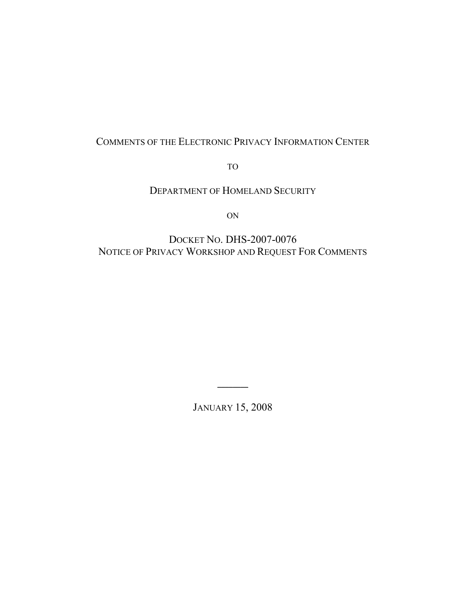# COMMENTS OF THE ELECTRONIC PRIVACY INFORMATION CENTER

TO

DEPARTMENT OF HOMELAND SECURITY

ON

# DOCKET NO. DHS-2007-0076 NOTICE OF PRIVACY WORKSHOP AND REQUEST FOR COMMENTS

JANUARY 15, 2008

 $\mathcal{L}$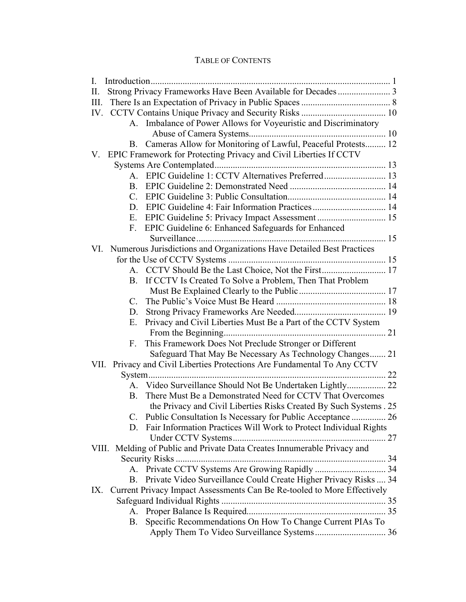# TABLE OF CONTENTS

| $\mathbf{I}$ . |                                                                          |  |  |
|----------------|--------------------------------------------------------------------------|--|--|
| П.             |                                                                          |  |  |
| III.           |                                                                          |  |  |
|                |                                                                          |  |  |
|                | A. Imbalance of Power Allows for Voyeuristic and Discriminatory          |  |  |
|                |                                                                          |  |  |
|                | B. Cameras Allow for Monitoring of Lawful, Peaceful Protests 12          |  |  |
|                | V. EPIC Framework for Protecting Privacy and Civil Liberties If CCTV     |  |  |
|                |                                                                          |  |  |
|                |                                                                          |  |  |
|                |                                                                          |  |  |
| $C_{\cdot}$    |                                                                          |  |  |
| D.             |                                                                          |  |  |
| E.             |                                                                          |  |  |
|                | F. EPIC Guideline 6: Enhanced Safeguards for Enhanced                    |  |  |
|                |                                                                          |  |  |
| VI.            | Numerous Jurisdictions and Organizations Have Detailed Best Practices    |  |  |
|                |                                                                          |  |  |
|                |                                                                          |  |  |
| B.             | If CCTV Is Created To Solve a Problem, Then That Problem                 |  |  |
|                |                                                                          |  |  |
| $C_{\cdot}$    |                                                                          |  |  |
| D.             |                                                                          |  |  |
| $E_{\cdot}$    | Privacy and Civil Liberties Must Be a Part of the CCTV System            |  |  |
|                |                                                                          |  |  |
| $F_{\rm{eff}}$ | This Framework Does Not Preclude Stronger or Different                   |  |  |
|                | Safeguard That May Be Necessary As Technology Changes 21                 |  |  |
|                | VII. Privacy and Civil Liberties Protections Are Fundamental To Any CCTV |  |  |
|                |                                                                          |  |  |
|                | A. Video Surveillance Should Not Be Undertaken Lightly 22                |  |  |
| <b>B.</b>      | There Must Be a Demonstrated Need for CCTV That Overcomes                |  |  |
|                | the Privacy and Civil Liberties Risks Created By Such Systems . 25       |  |  |
| C.             | Public Consultation Is Necessary for Public Acceptance  26               |  |  |
|                | D. Fair Information Practices Will Work to Protect Individual Rights     |  |  |
|                |                                                                          |  |  |
|                | VIII. Melding of Public and Private Data Creates Innumerable Privacy and |  |  |
|                |                                                                          |  |  |
|                |                                                                          |  |  |
| $\mathbf{B}$   | Private Video Surveillance Could Create Higher Privacy Risks  34         |  |  |
| IX.            | Current Privacy Impact Assessments Can Be Re-tooled to More Effectively  |  |  |
|                |                                                                          |  |  |
| A.             |                                                                          |  |  |
| <b>B.</b>      | Specific Recommendations On How To Change Current PIAs To                |  |  |
|                |                                                                          |  |  |
|                |                                                                          |  |  |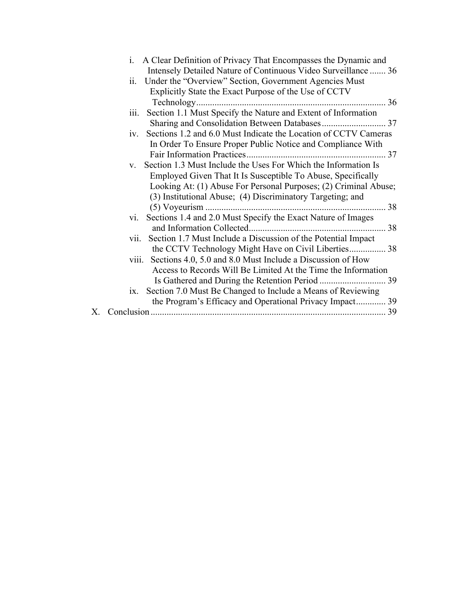|    | i. A Clear Definition of Privacy That Encompasses the Dynamic and         |
|----|---------------------------------------------------------------------------|
|    | Intensely Detailed Nature of Continuous Video Surveillance  36            |
|    | ii.<br>Under the "Overview" Section, Government Agencies Must             |
|    | Explicitly State the Exact Purpose of the Use of CCTV                     |
|    |                                                                           |
|    | Section 1.1 Must Specify the Nature and Extent of Information<br>iii.     |
|    |                                                                           |
|    | Sections 1.2 and 6.0 Must Indicate the Location of CCTV Cameras<br>1V.    |
|    | In Order To Ensure Proper Public Notice and Compliance With               |
|    |                                                                           |
|    | Section 1.3 Must Include the Uses For Which the Information Is<br>$V_{-}$ |
|    | Employed Given That It Is Susceptible To Abuse, Specifically              |
|    | Looking At: (1) Abuse For Personal Purposes; (2) Criminal Abuse;          |
|    | (3) Institutional Abuse; (4) Discriminatory Targeting; and                |
|    | 38                                                                        |
|    | Sections 1.4 and 2.0 Must Specify the Exact Nature of Images<br>V1.       |
|    |                                                                           |
|    | Section 1.7 Must Include a Discussion of the Potential Impact<br>V11.     |
|    | the CCTV Technology Might Have on Civil Liberties 38                      |
|    | viii. Sections 4.0, 5.0 and 8.0 Must Include a Discussion of How          |
|    | Access to Records Will Be Limited At the Time the Information             |
|    |                                                                           |
|    | Section 7.0 Must Be Changed to Include a Means of Reviewing<br>1X.        |
|    | the Program's Efficacy and Operational Privacy Impact 39                  |
| Х. |                                                                           |
|    |                                                                           |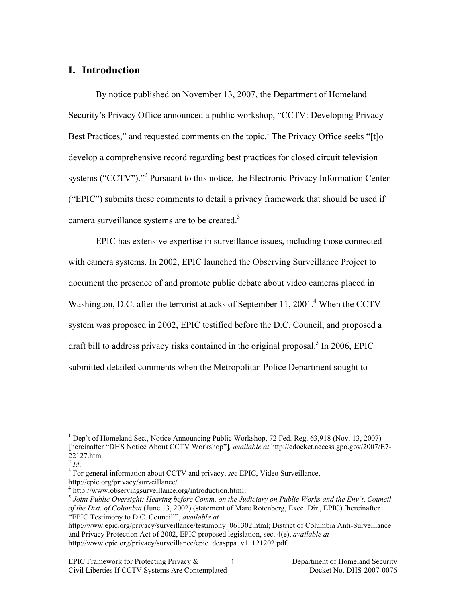## **I. Introduction**

By notice published on November 13, 2007, the Department of Homeland Security's Privacy Office announced a public workshop, "CCTV: Developing Privacy Best Practices," and requested comments on the topic.<sup>1</sup> The Privacy Office seeks "[t]o develop a comprehensive record regarding best practices for closed circuit television systems ("CCTV")."<sup>2</sup> Pursuant to this notice, the Electronic Privacy Information Center ("EPIC") submits these comments to detail a privacy framework that should be used if camera surveillance systems are to be created.<sup>3</sup>

EPIC has extensive expertise in surveillance issues, including those connected with camera systems. In 2002, EPIC launched the Observing Surveillance Project to document the presence of and promote public debate about video cameras placed in Washington, D.C. after the terrorist attacks of September 11, 2001.<sup>4</sup> When the CCTV system was proposed in 2002, EPIC testified before the D.C. Council, and proposed a draft bill to address privacy risks contained in the original proposal.<sup>5</sup> In 2006, EPIC submitted detailed comments when the Metropolitan Police Department sought to

 <sup>1</sup> <sup>1</sup> Dep't of Homeland Sec., Notice Announcing Public Workshop, 72 Fed. Reg.  $63,918$  (Nov. 13, 2007) [hereinafter "DHS Notice About CCTV Workshop"]*, available at* http://edocket.access.gpo.gov/2007/E7- 22127.htm.

 $2$  *Id.* 

<sup>&</sup>lt;sup>3</sup> For general information about CCTV and privacy, see EPIC, Video Surveillance, http://epic.org/privacy/surveillance/.

<sup>&</sup>lt;sup>4</sup> http://www.observingsurveillance.org/introduction.html.

<sup>5</sup> *Joint Public Oversight: Hearing before Comm. on the Judiciary on Public Works and the Env't*, *Council of the Dist. of Columbia* (June 13, 2002) (statement of Marc Rotenberg, Exec. Dir., EPIC) [hereinafter "EPIC Testimony to D.C. Council"], *available at* 

http://www.epic.org/privacy/surveillance/testimony\_061302.html; District of Columbia Anti-Surveillance and Privacy Protection Act of 2002, EPIC proposed legislation, sec. 4(e), *available at* http://www.epic.org/privacy/surveillance/epic\_dcasppa\_v1\_121202.pdf.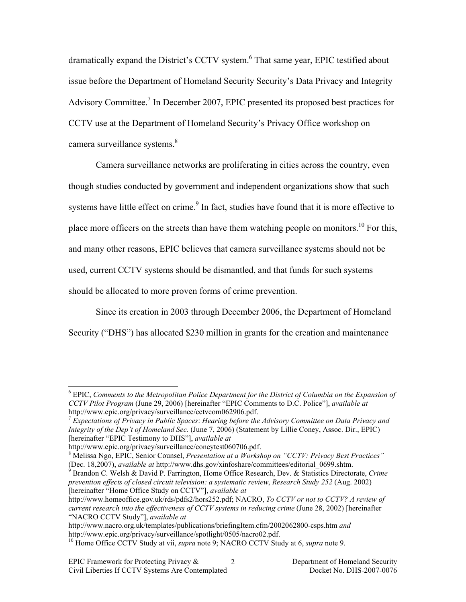dramatically expand the District's CCTV system.<sup>6</sup> That same year, EPIC testified about issue before the Department of Homeland Security Security's Data Privacy and Integrity Advisory Committee.<sup>7</sup> In December 2007, EPIC presented its proposed best practices for CCTV use at the Department of Homeland Security's Privacy Office workshop on camera surveillance systems.<sup>8</sup>

Camera surveillance networks are proliferating in cities across the country, even though studies conducted by government and independent organizations show that such systems have little effect on crime.<sup>9</sup> In fact, studies have found that it is more effective to place more officers on the streets than have them watching people on monitors.<sup>10</sup> For this, and many other reasons, EPIC believes that camera surveillance systems should not be used, current CCTV systems should be dismantled, and that funds for such systems should be allocated to more proven forms of crime prevention.

Since its creation in 2003 through December 2006, the Department of Homeland Security ("DHS") has allocated \$230 million in grants for the creation and maintenance

 <sup>6</sup> EPIC, *Comments to the Metropolitan Police Department for the District of Columbia on the Expansion of CCTV Pilot Program* (June 29, 2006) [hereinafter "EPIC Comments to D.C. Police"], *available at* http://www.epic.org/privacy/surveillance/cctvcom062906.pdf.

<sup>7</sup> *Expectations of Privacy in Public Spaces*: *Hearing before the Advisory Committee on Data Privacy and Integrity of the Dep't of Homeland Sec.* (June 7, 2006) (Statement by Lillie Coney, Assoc. Dir., EPIC) [hereinafter "EPIC Testimony to DHS"], *available at*

http://www.epic.org/privacy/surveillance/coneytest060706.pdf.

Melissa Ngo, EPIC, Senior Counsel, *Presentation at a Workshop on "CCTV: Privacy Best Practices"* (Dec. 18,2007), *available at* http://www.dhs.gov/xinfoshare/committees/editorial\_0699.shtm. <sup>9</sup>

Brandon C. Welsh & David P. Farrington, Home Office Research, Dev. & Statistics Directorate, *Crime prevention effects of closed circuit television: a systematic review*, *Research Study 252* (Aug. 2002) [hereinafter "Home Office Study on CCTV"], *available at*

http://www.homeoffice.gov.uk/rds/pdfs2/hors252.pdf; NACRO, *To CCTV or not to CCTV? A review of current research into the effectiveness of CCTV systems in reducing crime* (June 28, 2002) [hereinafter "NACRO CCTV Study"], *available at*

http://www.nacro.org.uk/templates/publications/briefingItem.cfm/2002062800-csps.htm *and* http://www.epic.org/privacy/surveillance/spotlight/0505/nacro02.pdf.

<sup>10</sup> Home Office CCTV Study at vii, *supra* note 9; NACRO CCTV Study at 6, *supra* note 9.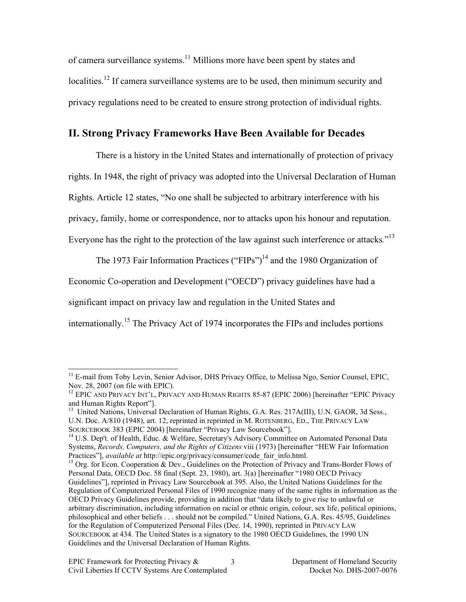of camera surveillance systems.11 Millions more have been spent by states and localities.<sup>12</sup> If camera surveillance systems are to be used, then minimum security and privacy regulations need to be created to ensure strong protection of individual rights.

# **II. Strong Privacy Frameworks Have Been Available for Decades**

There is a history in the United States and internationally of protection of privacy rights. In 1948, the right of privacy was adopted into the Universal Declaration of Human Rights. Article 12 states, "No one shall be subjected to arbitrary interference with his privacy, family, home or correspondence, nor to attacks upon his honour and reputation. Everyone has the right to the protection of the law against such interference or attacks*.*" 13

The 1973 Fair Information Practices ("FIPs")<sup>14</sup> and the 1980 Organization of

Economic Co-operation and Development ("OECD") privacy guidelines have had a

significant impact on privacy law and regulation in the United States and

internationally.15 The Privacy Act of 1974 incorporates the FIPs and includes portions

<sup>&</sup>lt;sup>11</sup> E-mail from Toby Levin, Senior Advisor, DHS Privacy Office, to Melissa Ngo, Senior Counsel, EPIC, Nov. 28, 2007 (on file with EPIC).

<sup>&</sup>lt;sup>12</sup> EPIC AND PRIVACY INT'L, PRIVACY AND HUMAN RIGHTS 85-87 (EPIC 2006) [hereinafter "EPIC Privacy and Human Rights Report"].

<sup>&</sup>lt;sup>13</sup> United Nations, Universal Declaration of Human Rights, G.A. Res. 217A(III), U.N. GAOR, 3d Sess., U.N. Doc. A/810 (1948), art. 12, reprinted in reprinted in M. ROTENBERG, ED., THE PRIVACY LAW SOURCEBOOK 383 (EPIC 2004) [hereinafter "Privacy Law Sourcebook"].<br><sup>14</sup> U.S. Dep't. of Health, Educ. & Welfare, Secretary's Advisory Committee on Automated Personal Data

Systems, *Records, Computers, and the Rights of Citizens* viii (1973) [hereinafter "HEW Fair Information Practices"], *available at* http://epic.org/privacy/consumer/code\_fair\_info.html. 15 Org. for Econ. Cooperation & Dev., Guidelines on the Protection of Privacy and Trans-Border Flows of

Personal Data, OECD Doc. 58 final (Sept. 23, 1980), art. 3(a) [hereinafter "1980 OECD Privacy Guidelines"], reprinted in Privacy Law Sourcebook at 395. Also, the United Nations Guidelines for the Regulation of Computerized Personal Files of 1990 recognize many of the same rights in information as the OECD Privacy Guidelines provide, providing in addition that "data likely to give rise to unlawful or arbitrary discrimination, including information on racial or ethnic origin, colour, sex life, political opinions, philosophical and other beliefs . . . should not be compiled." United Nations, G.A. Res. 45/95, Guidelines for the Regulation of Computerized Personal Files (Dec. 14, 1990), reprinted in PRIVACY LAW SOURCEBOOK at 434. The United States is a signatory to the 1980 OECD Guidelines, the 1990 UN Guidelines and the Universal Declaration of Human Rights.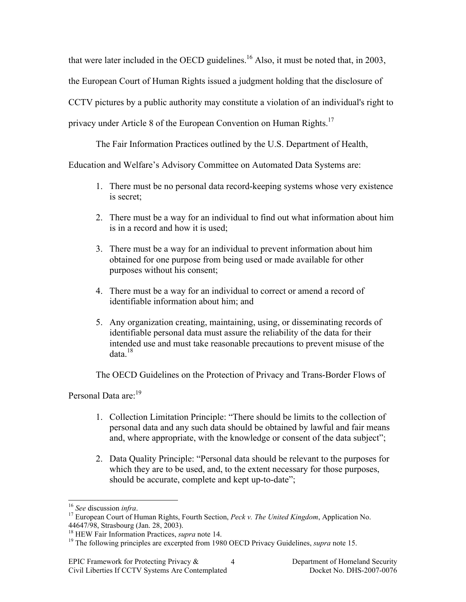that were later included in the OECD guidelines.<sup>16</sup> Also, it must be noted that, in 2003, the European Court of Human Rights issued a judgment holding that the disclosure of CCTV pictures by a public authority may constitute a violation of an individual's right to privacy under Article 8 of the European Convention on Human Rights.<sup>17</sup>

The Fair Information Practices outlined by the U.S. Department of Health,

Education and Welfare's Advisory Committee on Automated Data Systems are:

- 1. There must be no personal data record-keeping systems whose very existence is secret;
- 2. There must be a way for an individual to find out what information about him is in a record and how it is used;
- 3. There must be a way for an individual to prevent information about him obtained for one purpose from being used or made available for other purposes without his consent;
- 4. There must be a way for an individual to correct or amend a record of identifiable information about him; and
- 5. Any organization creating, maintaining, using, or disseminating records of identifiable personal data must assure the reliability of the data for their intended use and must take reasonable precautions to prevent misuse of the data $18$

The OECD Guidelines on the Protection of Privacy and Trans-Border Flows of

Personal Data are:<sup>19</sup>

- 1. Collection Limitation Principle: "There should be limits to the collection of personal data and any such data should be obtained by lawful and fair means and, where appropriate, with the knowledge or consent of the data subject";
- 2. Data Quality Principle: "Personal data should be relevant to the purposes for which they are to be used, and, to the extent necessary for those purposes, should be accurate, complete and kept up-to-date";

<sup>16</sup> *See* discussion *infra*. 17 European Court of Human Rights, Fourth Section, *Peck v. The United Kingdom*, Application No. 44647/98, Strasbourg (Jan. 28, 2003).<br><sup>18</sup> HEW Fair Information Practices, *supra* note 14.

<sup>&</sup>lt;sup>19</sup> The following principles are excerpted from 1980 OECD Privacy Guidelines, *supra* note 15.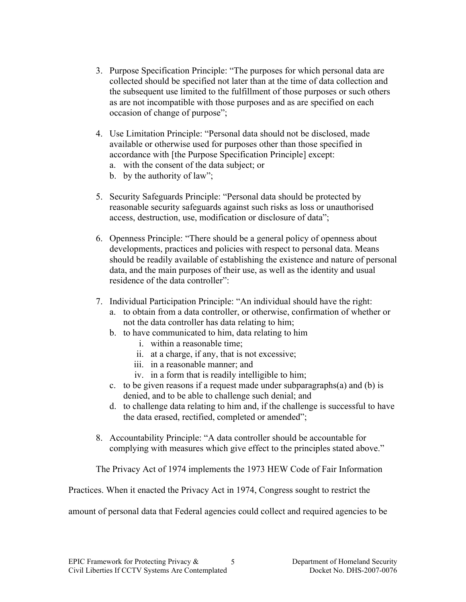- 3. Purpose Specification Principle: "The purposes for which personal data are collected should be specified not later than at the time of data collection and the subsequent use limited to the fulfillment of those purposes or such others as are not incompatible with those purposes and as are specified on each occasion of change of purpose";
- 4. Use Limitation Principle: "Personal data should not be disclosed, made available or otherwise used for purposes other than those specified in accordance with [the Purpose Specification Principle] except:
	- a. with the consent of the data subject; or
	- b. by the authority of law";
- 5. Security Safeguards Principle: "Personal data should be protected by reasonable security safeguards against such risks as loss or unauthorised access, destruction, use, modification or disclosure of data";
- 6. Openness Principle: "There should be a general policy of openness about developments, practices and policies with respect to personal data. Means should be readily available of establishing the existence and nature of personal data, and the main purposes of their use, as well as the identity and usual residence of the data controller":
- 7. Individual Participation Principle: "An individual should have the right:
	- a. to obtain from a data controller, or otherwise, confirmation of whether or not the data controller has data relating to him;
	- b. to have communicated to him, data relating to him
		- i. within a reasonable time;
		- ii. at a charge, if any, that is not excessive;
		- iii. in a reasonable manner; and
		- iv. in a form that is readily intelligible to him;
	- c. to be given reasons if a request made under subparagraphs(a) and (b) is denied, and to be able to challenge such denial; and
	- d. to challenge data relating to him and, if the challenge is successful to have the data erased, rectified, completed or amended";
- 8. Accountability Principle: "A data controller should be accountable for complying with measures which give effect to the principles stated above."

The Privacy Act of 1974 implements the 1973 HEW Code of Fair Information

Practices. When it enacted the Privacy Act in 1974, Congress sought to restrict the

amount of personal data that Federal agencies could collect and required agencies to be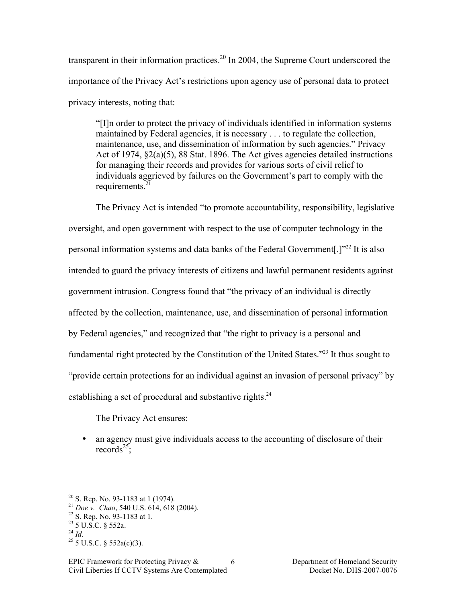transparent in their information practices.<sup>20</sup> In 2004, the Supreme Court underscored the importance of the Privacy Act's restrictions upon agency use of personal data to protect privacy interests, noting that:

"[I]n order to protect the privacy of individuals identified in information systems maintained by Federal agencies, it is necessary . . . to regulate the collection, maintenance, use, and dissemination of information by such agencies." Privacy Act of 1974,  $\S2(a)(5)$ , 88 Stat. 1896. The Act gives agencies detailed instructions for managing their records and provides for various sorts of civil relief to individuals aggrieved by failures on the Government's part to comply with the requirements. $21$ 

The Privacy Act is intended "to promote accountability, responsibility, legislative oversight, and open government with respect to the use of computer technology in the personal information systems and data banks of the Federal Government[.]"<sup>22</sup> It is also intended to guard the privacy interests of citizens and lawful permanent residents against government intrusion. Congress found that "the privacy of an individual is directly affected by the collection, maintenance, use, and dissemination of personal information by Federal agencies," and recognized that "the right to privacy is a personal and fundamental right protected by the Constitution of the United States."<sup>23</sup> It thus sought to "provide certain protections for an individual against an invasion of personal privacy" by establishing a set of procedural and substantive rights. $24$ 

The Privacy Act ensures:

• an agency must give individuals access to the accounting of disclosure of their records<sup>25</sup>:

<sup>&</sup>lt;sup>20</sup> S. Rep. No. 93-1183 at 1 (1974).<br>
<sup>21</sup> *Doe v. Chao*, 540 U.S. 614, 618 (2004).<br>
<sup>22</sup> S. Rep. No. 93-1183 at 1.<br>
<sup>23</sup> 5 U.S.C. § 552a.<br>
<sup>24</sup> *Id.* <sup>25</sup> 5 U.S.C. § 552a(c)(3).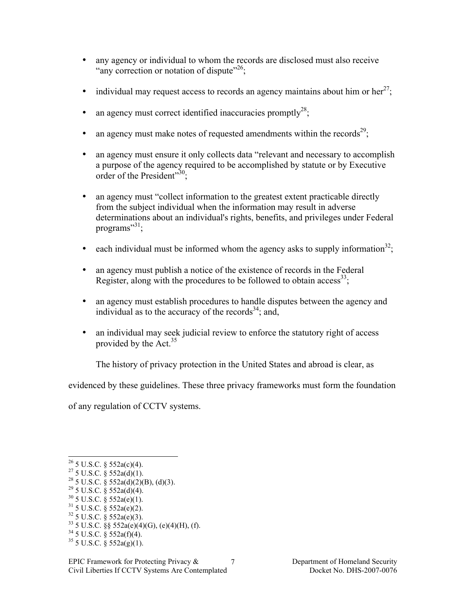- any agency or individual to whom the records are disclosed must also receive "any correction or notation of dispute"<sup>26</sup>:
- individual may request access to records an agency maintains about him or her<sup>27</sup>;
- an agency must correct identified inaccuracies promptly<sup>28</sup>;
- an agency must make notes of requested amendments within the records<sup>29</sup>;
- an agency must ensure it only collects data "relevant and necessary to accomplish a purpose of the agency required to be accomplished by statute or by Executive order of the President"30:
- an agency must "collect information to the greatest extent practicable directly from the subject individual when the information may result in adverse determinations about an individual's rights, benefits, and privileges under Federal programs"<sup>31</sup>;
- each individual must be informed whom the agency asks to supply information<sup>32</sup>;
- an agency must publish a notice of the existence of records in the Federal Register, along with the procedures to be followed to obtain access  $33$ .
- an agency must establish procedures to handle disputes between the agency and individual as to the accuracy of the records<sup>34</sup>; and,
- an individual may seek judicial review to enforce the statutory right of access provided by the Act.<sup>35</sup>

The history of privacy protection in the United States and abroad is clear, as

evidenced by these guidelines. These three privacy frameworks must form the foundation

of any regulation of CCTV systems.

- $^{29}$  5 U.S.C. § 552a(d)(4).
- $30\,$  5 U.S.C. § 552a(e)(1).<br> $31\,$  5 U.S.C. § 552a(e)(2).
- $32$  5 U.S.C. § 552a(e)(3).
- <sup>33</sup> 5 U.S.C. §§ 552a(e)(4)(G), (e)(4)(H), (f).
- $34$  5 U.S.C. § 552a(f)(4).
- $35$  5 U.S.C. § 552a(g)(1).

 $26$  5 U.S.C. § 552a(c)(4).

 $27\,$  5 U.S.C. § 552a(d)(1).

<sup>&</sup>lt;sup>28</sup> 5 U.S.C.  $\frac{8}{9}$  552a(d)(2)(B), (d)(3).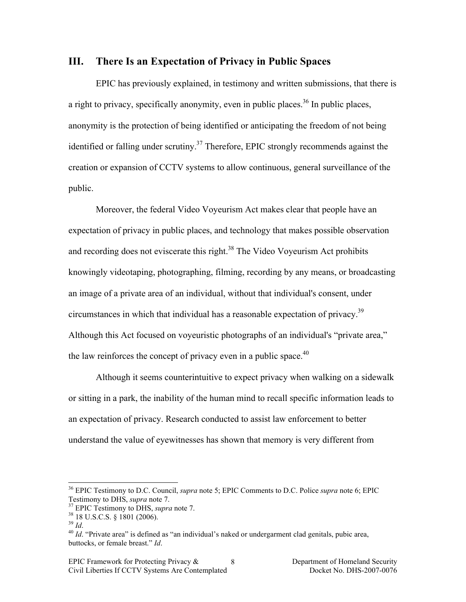#### **III. There Is an Expectation of Privacy in Public Spaces**

EPIC has previously explained, in testimony and written submissions, that there is a right to privacy, specifically anonymity, even in public places.<sup>36</sup> In public places, anonymity is the protection of being identified or anticipating the freedom of not being identified or falling under scrutiny.<sup>37</sup> Therefore, EPIC strongly recommends against the creation or expansion of CCTV systems to allow continuous, general surveillance of the public.

Moreover, the federal Video Voyeurism Act makes clear that people have an expectation of privacy in public places, and technology that makes possible observation and recording does not eviscerate this right.<sup>38</sup> The Video Voyeurism Act prohibits knowingly videotaping, photographing, filming, recording by any means, or broadcasting an image of a private area of an individual, without that individual's consent, under circumstances in which that individual has a reasonable expectation of privacy.<sup>39</sup> Although this Act focused on voyeuristic photographs of an individual's "private area," the law reinforces the concept of privacy even in a public space.<sup>40</sup>

Although it seems counterintuitive to expect privacy when walking on a sidewalk or sitting in a park, the inability of the human mind to recall specific information leads to an expectation of privacy. Research conducted to assist law enforcement to better understand the value of eyewitnesses has shown that memory is very different from

<sup>&</sup>lt;sup>36</sup> EPIC Testimony to D.C. Council, *supra* note 5; EPIC Comments to D.C. Police *supra* note 6; EPIC Testimony to DHS, *supra* note 7.

<sup>&</sup>lt;sup>37</sup> EPIC Testimony to DHS, *supra* note 7.<br><sup>38</sup> 18 U.S.C.S. § 1801 (2006).<br><sup>39</sup> *Id.*<br><sup>40</sup> *Id.* "Private area" is defined as "an individual's naked or undergarment clad genitals, pubic area, buttocks, or female breast." *Id*.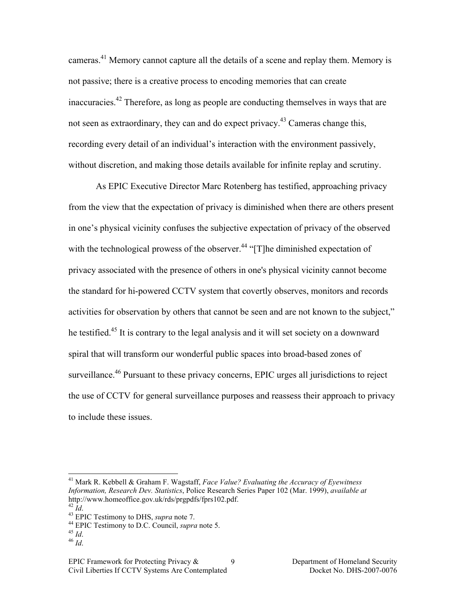cameras.<sup>41</sup> Memory cannot capture all the details of a scene and replay them. Memory is not passive; there is a creative process to encoding memories that can create inaccuracies.42 Therefore, as long as people are conducting themselves in ways that are not seen as extraordinary, they can and do expect privacy.<sup>43</sup> Cameras change this, recording every detail of an individual's interaction with the environment passively, without discretion, and making those details available for infinite replay and scrutiny.

As EPIC Executive Director Marc Rotenberg has testified, approaching privacy from the view that the expectation of privacy is diminished when there are others present in one's physical vicinity confuses the subjective expectation of privacy of the observed with the technological prowess of the observer.<sup>44</sup> " $[T]$ he diminished expectation of privacy associated with the presence of others in one's physical vicinity cannot become the standard for hi-powered CCTV system that covertly observes, monitors and records activities for observation by others that cannot be seen and are not known to the subject," he testified.<sup>45</sup> It is contrary to the legal analysis and it will set society on a downward spiral that will transform our wonderful public spaces into broad-based zones of surveillance.<sup>46</sup> Pursuant to these privacy concerns, EPIC urges all jurisdictions to reject the use of CCTV for general surveillance purposes and reassess their approach to privacy to include these issues.

 <sup>41</sup> Mark R. Kebbell & Graham F. Wagstaff, *Face Value? Evaluating the Accuracy of Eyewitness Information, Research Dev. Statistics*, Police Research Series Paper 102 (Mar. 1999), *available at* http://www.homeoffice.gov.uk/rds/prgpdfs/fprs102.pdf.<br> $^{42}$  *Id* 

<sup>43</sup> EPIC Testimony to DHS, *supra* note 7.<br><sup>44</sup> EPIC Testimony to D.C. Council, *supra* note 5.<br><sup>45</sup> *Id*. 46 *Id*.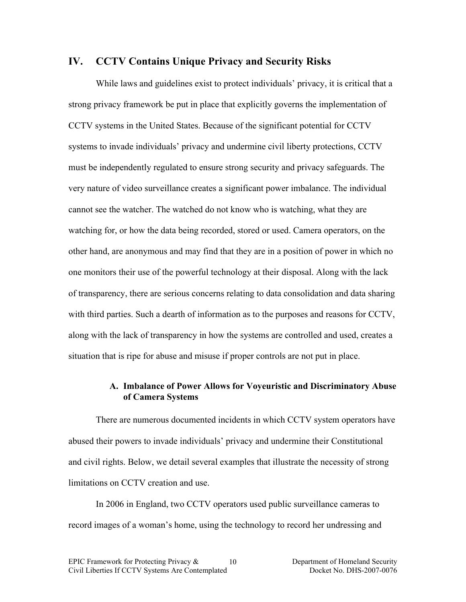### **IV. CCTV Contains Unique Privacy and Security Risks**

While laws and guidelines exist to protect individuals' privacy, it is critical that a strong privacy framework be put in place that explicitly governs the implementation of CCTV systems in the United States. Because of the significant potential for CCTV systems to invade individuals' privacy and undermine civil liberty protections, CCTV must be independently regulated to ensure strong security and privacy safeguards. The very nature of video surveillance creates a significant power imbalance. The individual cannot see the watcher. The watched do not know who is watching, what they are watching for, or how the data being recorded, stored or used. Camera operators, on the other hand, are anonymous and may find that they are in a position of power in which no one monitors their use of the powerful technology at their disposal. Along with the lack of transparency, there are serious concerns relating to data consolidation and data sharing with third parties. Such a dearth of information as to the purposes and reasons for CCTV, along with the lack of transparency in how the systems are controlled and used, creates a situation that is ripe for abuse and misuse if proper controls are not put in place.

### **A. Imbalance of Power Allows for Voyeuristic and Discriminatory Abuse of Camera Systems**

There are numerous documented incidents in which CCTV system operators have abused their powers to invade individuals' privacy and undermine their Constitutional and civil rights. Below, we detail several examples that illustrate the necessity of strong limitations on CCTV creation and use.

In 2006 in England, two CCTV operators used public surveillance cameras to record images of a woman's home, using the technology to record her undressing and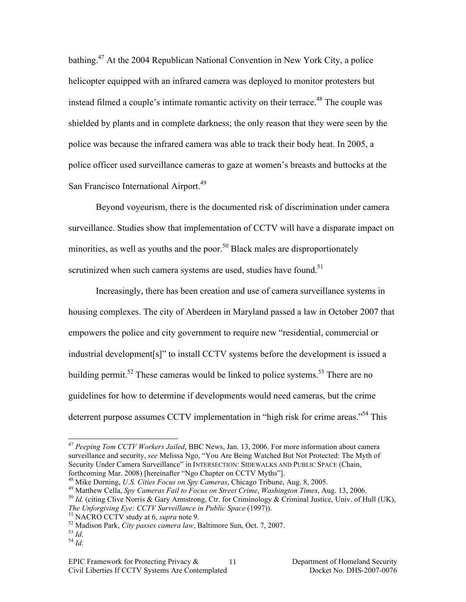bathing.47 At the 2004 Republican National Convention in New York City, a police helicopter equipped with an infrared camera was deployed to monitor protesters but instead filmed a couple's intimate romantic activity on their terrace.<sup>48</sup> The couple was shielded by plants and in complete darkness; the only reason that they were seen by the police was because the infrared camera was able to track their body heat. In 2005, a police officer used surveillance cameras to gaze at women's breasts and buttocks at the San Francisco International Airport.<sup>49</sup>

Beyond voyeurism, there is the documented risk of discrimination under camera surveillance. Studies show that implementation of CCTV will have a disparate impact on minorities, as well as youths and the poor.<sup>50</sup> Black males are disproportionately scrutinized when such camera systems are used, studies have found.<sup>51</sup>

Increasingly, there has been creation and use of camera surveillance systems in housing complexes. The city of Aberdeen in Maryland passed a law in October 2007 that empowers the police and city government to require new "residential, commercial or industrial development[s]" to install CCTV systems before the development is issued a building permit.<sup>52</sup> These cameras would be linked to police systems.<sup>53</sup> There are no guidelines for how to determine if developments would need cameras, but the crime deterrent purpose assumes CCTV implementation in "high risk for crime areas."<sup>54</sup> This

 <sup>47</sup> *Peeping Tom CCTV Workers Jailed*, BBC News, Jan. 13, 2006. For more information about camera surveillance and security, *see* Melissa Ngo, "You Are Being Watched But Not Protected: The Myth of Security Under Camera Surveillance" in INTERSECTION: SIDEWALKS AND PUBLIC SPACE (Chain, forthcoming Mar. 2008) [hereinafter "Ngo Chapter on CCTV Myths"].<br><sup>48</sup> Mike Dorning. *U.S. Cities Focus on Spy Cameras*. Chicago Tribune. Aug. 8, 2005.

<sup>&</sup>lt;sup>49</sup> Matthew Cella, *Spy Cameras Fail to Focus on Street Crime*, *Washington Times*, Aug. 13, 2006.<br><sup>50</sup> Id. (citing Clive Norris & Gary Armstrong, Ctr. for Criminology & Criminal Justice, Univ. of Hull (UK), *The Unforgiving Eye: CCTV Surveillance in Public Space* (1997)).<br><sup>51</sup> NACRO CCTV study at 6, *supra* note 9.<br><sup>52</sup> Madison Park, *City passes camera law*, Baltimore Sun, Oct. 7, 2007.<br><sup>54</sup> *Id.* <sup>54</sup> *Id.*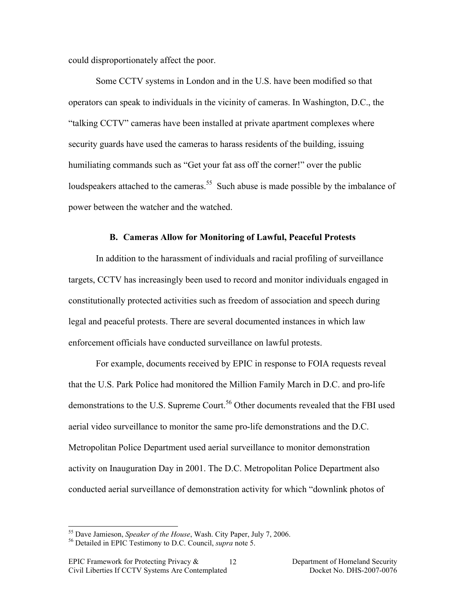could disproportionately affect the poor.

Some CCTV systems in London and in the U.S. have been modified so that operators can speak to individuals in the vicinity of cameras. In Washington, D.C., the "talking CCTV" cameras have been installed at private apartment complexes where security guards have used the cameras to harass residents of the building, issuing humiliating commands such as "Get your fat ass off the corner!" over the public loudspeakers attached to the cameras.<sup>55</sup> Such abuse is made possible by the imbalance of power between the watcher and the watched.

#### **B. Cameras Allow for Monitoring of Lawful, Peaceful Protests**

In addition to the harassment of individuals and racial profiling of surveillance targets, CCTV has increasingly been used to record and monitor individuals engaged in constitutionally protected activities such as freedom of association and speech during legal and peaceful protests. There are several documented instances in which law enforcement officials have conducted surveillance on lawful protests.

For example, documents received by EPIC in response to FOIA requests reveal that the U.S. Park Police had monitored the Million Family March in D.C. and pro-life demonstrations to the U.S. Supreme Court.<sup>56</sup> Other documents revealed that the FBI used aerial video surveillance to monitor the same pro-life demonstrations and the D.C. Metropolitan Police Department used aerial surveillance to monitor demonstration activity on Inauguration Day in 2001. The D.C. Metropolitan Police Department also conducted aerial surveillance of demonstration activity for which "downlink photos of

 <sup>55</sup> Dave Jamieson, *Speaker of the House*, Wash. City Paper, July 7, 2006. 56 Detailed in EPIC Testimony to D.C. Council, *supra* note 5.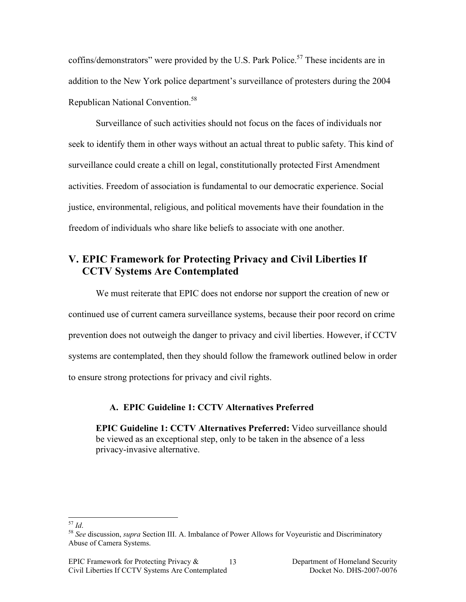coffins/demonstrators" were provided by the U.S. Park Police.<sup>57</sup> These incidents are in addition to the New York police department's surveillance of protesters during the 2004 Republican National Convention.<sup>58</sup>

Surveillance of such activities should not focus on the faces of individuals nor seek to identify them in other ways without an actual threat to public safety. This kind of surveillance could create a chill on legal, constitutionally protected First Amendment activities. Freedom of association is fundamental to our democratic experience. Social justice, environmental, religious, and political movements have their foundation in the freedom of individuals who share like beliefs to associate with one another.

# **V. EPIC Framework for Protecting Privacy and Civil Liberties If CCTV Systems Are Contemplated**

We must reiterate that EPIC does not endorse nor support the creation of new or continued use of current camera surveillance systems, because their poor record on crime prevention does not outweigh the danger to privacy and civil liberties. However, if CCTV systems are contemplated, then they should follow the framework outlined below in order to ensure strong protections for privacy and civil rights.

### **A. EPIC Guideline 1: CCTV Alternatives Preferred**

**EPIC Guideline 1: CCTV Alternatives Preferred:** Video surveillance should be viewed as an exceptional step, only to be taken in the absence of a less privacy-invasive alternative.

<sup>57</sup> *Id*. <sup>58</sup> *See* discussion, *supra* Section III. A. Imbalance of Power Allows for Voyeuristic and Discriminatory Abuse of Camera Systems.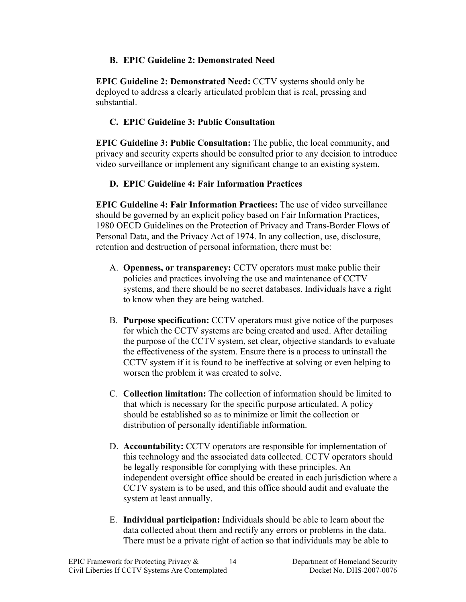## **B. EPIC Guideline 2: Demonstrated Need**

**EPIC Guideline 2: Demonstrated Need:** CCTV systems should only be deployed to address a clearly articulated problem that is real, pressing and substantial.

# **C. EPIC Guideline 3: Public Consultation**

**EPIC Guideline 3: Public Consultation:** The public, the local community, and privacy and security experts should be consulted prior to any decision to introduce video surveillance or implement any significant change to an existing system.

# **D. EPIC Guideline 4: Fair Information Practices**

**EPIC Guideline 4: Fair Information Practices:** The use of video surveillance should be governed by an explicit policy based on Fair Information Practices, 1980 OECD Guidelines on the Protection of Privacy and Trans-Border Flows of Personal Data, and the Privacy Act of 1974. In any collection, use, disclosure, retention and destruction of personal information, there must be:

- A. **Openness, or transparency:** CCTV operators must make public their policies and practices involving the use and maintenance of CCTV systems, and there should be no secret databases. Individuals have a right to know when they are being watched.
- B. **Purpose specification:** CCTV operators must give notice of the purposes for which the CCTV systems are being created and used. After detailing the purpose of the CCTV system, set clear, objective standards to evaluate the effectiveness of the system. Ensure there is a process to uninstall the CCTV system if it is found to be ineffective at solving or even helping to worsen the problem it was created to solve.
- C. **Collection limitation:** The collection of information should be limited to that which is necessary for the specific purpose articulated. A policy should be established so as to minimize or limit the collection or distribution of personally identifiable information.
- D. **Accountability:** CCTV operators are responsible for implementation of this technology and the associated data collected. CCTV operators should be legally responsible for complying with these principles. An independent oversight office should be created in each jurisdiction where a CCTV system is to be used, and this office should audit and evaluate the system at least annually.
- E. **Individual participation:** Individuals should be able to learn about the data collected about them and rectify any errors or problems in the data. There must be a private right of action so that individuals may be able to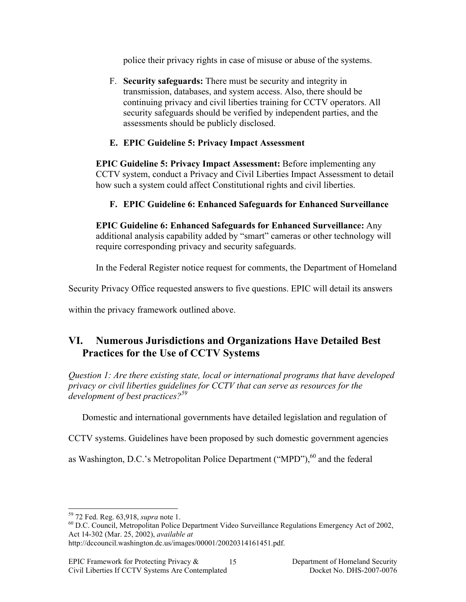police their privacy rights in case of misuse or abuse of the systems.

F. **Security safeguards:** There must be security and integrity in transmission, databases, and system access. Also, there should be continuing privacy and civil liberties training for CCTV operators. All security safeguards should be verified by independent parties, and the assessments should be publicly disclosed.

# **E. EPIC Guideline 5: Privacy Impact Assessment**

**EPIC Guideline 5: Privacy Impact Assessment:** Before implementing any CCTV system, conduct a Privacy and Civil Liberties Impact Assessment to detail how such a system could affect Constitutional rights and civil liberties.

# **F. EPIC Guideline 6: Enhanced Safeguards for Enhanced Surveillance**

**EPIC Guideline 6: Enhanced Safeguards for Enhanced Surveillance:** Any additional analysis capability added by "smart" cameras or other technology will require corresponding privacy and security safeguards.

In the Federal Register notice request for comments, the Department of Homeland

Security Privacy Office requested answers to five questions. EPIC will detail its answers

within the privacy framework outlined above.

# **VI. Numerous Jurisdictions and Organizations Have Detailed Best Practices for the Use of CCTV Systems**

*Question 1: Are there existing state, local or international programs that have developed privacy or civil liberties guidelines for CCTV that can serve as resources for the development of best practices?59*

Domestic and international governments have detailed legislation and regulation of

CCTV systems. Guidelines have been proposed by such domestic government agencies

as Washington, D.C.'s Metropolitan Police Department ("MPD"), $^{60}$  and the federal

<sup>&</sup>lt;sup>59</sup> 72 Fed. Reg. 63,918, *supra* note 1.<br><sup>60</sup> D.C. Council, Metropolitan Police Department Video Surveillance Regulations Emergency Act of 2002, Act 14-302 (Mar. 25, 2002), *available at*

http://dccouncil.washington.dc.us/images/00001/20020314161451.pdf.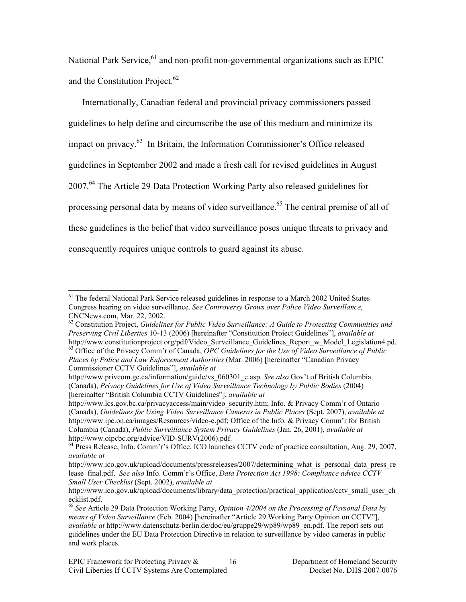National Park Service, $61$  and non-profit non-governmental organizations such as EPIC and the Constitution Project.<sup>62</sup>

Internationally, Canadian federal and provincial privacy commissioners passed guidelines to help define and circumscribe the use of this medium and minimize its impact on privacy.63 In Britain, the Information Commissioner's Office released guidelines in September 2002 and made a fresh call for revised guidelines in August 2007.64 The Article 29 Data Protection Working Party also released guidelines for processing personal data by means of video surveillance.<sup>65</sup> The central premise of all of these guidelines is the belief that video surveillance poses unique threats to privacy and consequently requires unique controls to guard against its abuse.

 $<sup>61</sup>$  The federal National Park Service released guidelines in response to a March 2002 United States</sup> Congress hearing on video surveillance. *See Controversy Grows over Police Video Surveillance*, CNCNews.com, Mar. 22, 2002.

<sup>62</sup> Constitution Project, *Guidelines for Public Video Surveillance: A Guide to Protecting Communities and Preserving Civil Liberties* 10-13 (2006) [hereinafter "Constitution Project Guidelines"], *available at* http://www.constitutionproject.org/pdf/Video\_Surveillance\_Guidelines\_Report\_w\_Model\_Legislation4.pd. 63 Office of the Privacy Comm'r of Canada, *OPC Guidelines for the Use of Video Surveillance of Public Places by Police and Law Enforcement Authorities* (Mar. 2006) [hereinafter "Canadian Privacy

Commissioner CCTV Guidelines"], *available at* http://www.privcom.gc.ca/information/guide/vs\_060301\_e.asp. *See also* Gov't of British Columbia (Canada), *Privacy Guidelines for Use of Video Surveillance Technology by Public Bodies* (2004) [hereinafter "British Columbia CCTV Guidelines"], *available at*

http://www.lcs.gov.bc.ca/privacyaccess/main/video\_security.htm; Info. & Privacy Comm'r of Ontario (Canada), *Guidelines for Using Video Surveillance Cameras in Public Places* (Sept. 2007), *available at* http://www.ipc.on.ca/images/Resources/video-e.pdf; Office of the Info. & Privacy Comm'r for British Columbia (Canada), *Public Surveillance System Privacy Guidelines* (Jan. 26, 2001), *available at* http://www.oipcbc.org/advice/VID-SURV(2006).pdf.<br><sup>64</sup> Press Release, Info. Comm'r's Office, ICO launches CCTV code of practice consultation, Aug. 29, 2007,

*available at*

http://www.ico.gov.uk/upload/documents/pressreleases/2007/determining\_what\_is\_personal\_data\_press\_re lease\_final.pdf. *See also* Info. Comm'r's Office, *Data Protection Act 1998: Compliance advice CCTV Small User Checklist* (Sept. 2002), *available at*

http://www.ico.gov.uk/upload/documents/library/data\_protection/practical\_application/cctv\_small\_user\_ch ecklist.pdf.

<sup>65</sup> *See* Article 29 Data Protection Working Party, *Opinion 4/2004 on the Processing of Personal Data by means of Video Surveillance* (Feb. 2004) [hereinafter "Article 29 Working Party Opinion on CCTV"], *available at* http://www.datenschutz-berlin.de/doc/eu/gruppe29/wp89/wp89\_en.pdf. The report sets out guidelines under the EU Data Protection Directive in relation to surveillance by video cameras in public and work places.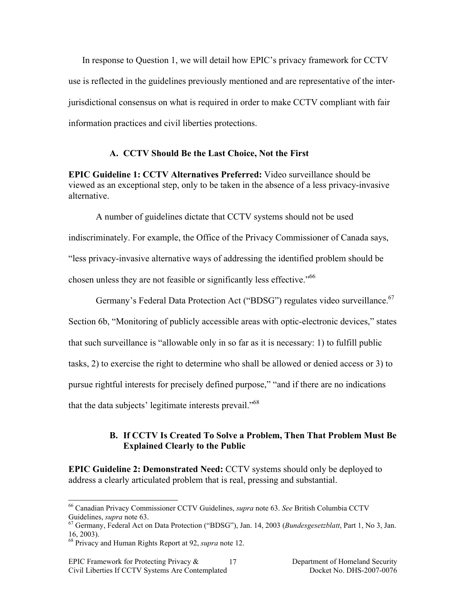In response to Question 1, we will detail how EPIC's privacy framework for CCTV use is reflected in the guidelines previously mentioned and are representative of the interjurisdictional consensus on what is required in order to make CCTV compliant with fair information practices and civil liberties protections.

#### **A. CCTV Should Be the Last Choice, Not the First**

**EPIC Guideline 1: CCTV Alternatives Preferred:** Video surveillance should be viewed as an exceptional step, only to be taken in the absence of a less privacy-invasive alternative.

A number of guidelines dictate that CCTV systems should not be used indiscriminately. For example, the Office of the Privacy Commissioner of Canada says, "less privacy-invasive alternative ways of addressing the identified problem should be chosen unless they are not feasible or significantly less effective.<sup>"66</sup>

Germany's Federal Data Protection Act ("BDSG") regulates video surveillance.<sup>67</sup> Section 6b, "Monitoring of publicly accessible areas with optic-electronic devices," states that such surveillance is "allowable only in so far as it is necessary: 1) to fulfill public tasks, 2) to exercise the right to determine who shall be allowed or denied access or 3) to pursue rightful interests for precisely defined purpose," "and if there are no indications that the data subjects' legitimate interests prevail."<sup>68</sup>

## **B. If CCTV Is Created To Solve a Problem, Then That Problem Must Be Explained Clearly to the Public**

**EPIC Guideline 2: Demonstrated Need:** CCTV systems should only be deployed to address a clearly articulated problem that is real, pressing and substantial.

 <sup>66</sup> Canadian Privacy Commissioner CCTV Guidelines, *supra* note 63. *See* British Columbia CCTV

<sup>&</sup>lt;sup>67</sup> Germany, Federal Act on Data Protection ("BDSG"), Jan. 14, 2003 (*Bundesgesetzblatt*, Part 1, No 3, Jan. 16, 2003).

<sup>68</sup> Privacy and Human Rights Report at 92, *supra* note 12.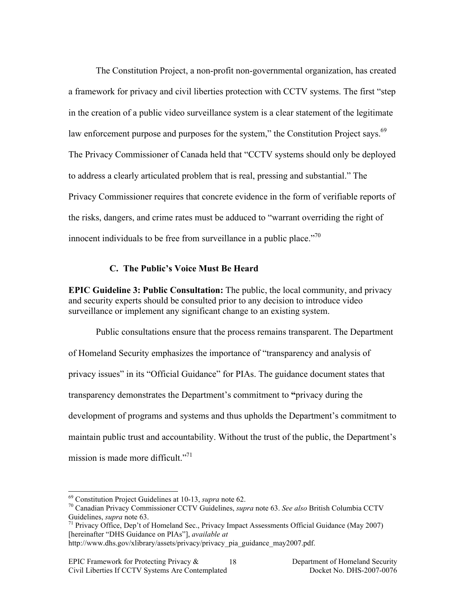The Constitution Project, a non-profit non-governmental organization, has created a framework for privacy and civil liberties protection with CCTV systems. The first "step in the creation of a public video surveillance system is a clear statement of the legitimate law enforcement purpose and purposes for the system," the Constitution Project says.<sup>69</sup> The Privacy Commissioner of Canada held that "CCTV systems should only be deployed to address a clearly articulated problem that is real, pressing and substantial." The Privacy Commissioner requires that concrete evidence in the form of verifiable reports of the risks, dangers, and crime rates must be adduced to "warrant overriding the right of innocent individuals to be free from surveillance in a public place. $170$ 

#### **C. The Public's Voice Must Be Heard**

**EPIC Guideline 3: Public Consultation:** The public, the local community, and privacy and security experts should be consulted prior to any decision to introduce video surveillance or implement any significant change to an existing system.

Public consultations ensure that the process remains transparent. The Department of Homeland Security emphasizes the importance of "transparency and analysis of privacy issues" in its "Official Guidance" for PIAs. The guidance document states that transparency demonstrates the Department's commitment to **"**privacy during the development of programs and systems and thus upholds the Department's commitment to maintain public trust and accountability. Without the trust of the public, the Department's mission is made more difficult."<sup>71</sup>

 <sup>69</sup> Constitution Project Guidelines at 10-13, *supra* note 62. 70 Canadian Privacy Commissioner CCTV Guidelines, *supra* note 63. *See also* British Columbia CCTV Guidelines, *supra* note 63.<br><sup>71</sup> Privacy Office, Dep't of Homeland Sec., Privacy Impact Assessments Official Guidance (May 2007)

<sup>[</sup>hereinafter "DHS Guidance on PIAs"], *available at*

http://www.dhs.gov/xlibrary/assets/privacy/privacy\_pia\_guidance\_may2007.pdf.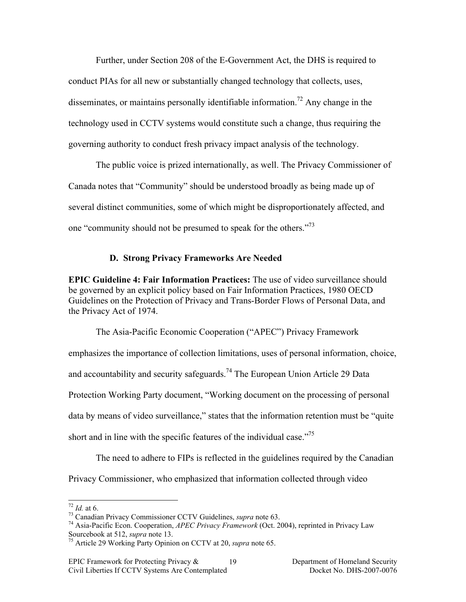Further, under Section 208 of the E-Government Act, the DHS is required to conduct PIAs for all new or substantially changed technology that collects, uses, disseminates, or maintains personally identifiable information.<sup>72</sup> Any change in the technology used in CCTV systems would constitute such a change, thus requiring the governing authority to conduct fresh privacy impact analysis of the technology.

The public voice is prized internationally, as well. The Privacy Commissioner of Canada notes that "Community" should be understood broadly as being made up of several distinct communities, some of which might be disproportionately affected, and one "community should not be presumed to speak for the others."<sup>73</sup>

### **D. Strong Privacy Frameworks Are Needed**

**EPIC Guideline 4: Fair Information Practices:** The use of video surveillance should be governed by an explicit policy based on Fair Information Practices, 1980 OECD Guidelines on the Protection of Privacy and Trans-Border Flows of Personal Data, and the Privacy Act of 1974.

The Asia-Pacific Economic Cooperation ("APEC") Privacy Framework emphasizes the importance of collection limitations, uses of personal information, choice, and accountability and security safeguards.<sup>74</sup> The European Union Article 29 Data Protection Working Party document, "Working document on the processing of personal data by means of video surveillance," states that the information retention must be "quite" short and in line with the specific features of the individual case."75

The need to adhere to FIPs is reflected in the guidelines required by the Canadian Privacy Commissioner, who emphasized that information collected through video

<sup>72</sup> *Id.* at 6. 73 Canadian Privacy Commissioner CCTV Guidelines, *supra* note 63. 74 Asia-Pacific Econ. Cooperation, *APEC Privacy Framework* (Oct. 2004), reprinted in Privacy Law Sourcebook at 512, *supra* note 13.<br><sup>75</sup> Article 29 Working Party Opinion on CCTV at 20, *supra* note 65.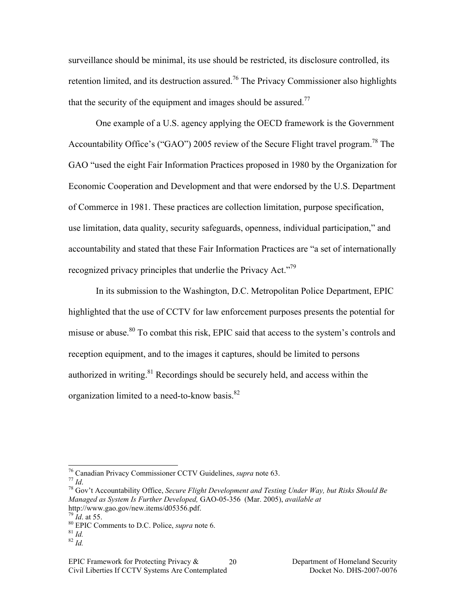surveillance should be minimal, its use should be restricted, its disclosure controlled, its retention limited, and its destruction assured.<sup>76</sup> The Privacy Commissioner also highlights that the security of the equipment and images should be assured.<sup>77</sup>

One example of a U.S. agency applying the OECD framework is the Government Accountability Office's ("GAO") 2005 review of the Secure Flight travel program.<sup>78</sup> The GAO "used the eight Fair Information Practices proposed in 1980 by the Organization for Economic Cooperation and Development and that were endorsed by the U.S. Department of Commerce in 1981. These practices are collection limitation, purpose specification, use limitation, data quality, security safeguards, openness, individual participation," and accountability and stated that these Fair Information Practices are "a set of internationally recognized privacy principles that underlie the Privacy Act."<sup>79</sup>

In its submission to the Washington, D.C. Metropolitan Police Department, EPIC highlighted that the use of CCTV for law enforcement purposes presents the potential for misuse or abuse.80 To combat this risk, EPIC said that access to the system's controls and reception equipment, and to the images it captures, should be limited to persons authorized in writing. $81$  Recordings should be securely held, and access within the organization limited to a need-to-know basis.<sup>82</sup>

<sup>&</sup>lt;sup>76</sup> Canadian Privacy Commissioner CCTV Guidelines, *supra* note 63.<br><sup>77</sup> *Id*. <sup>78</sup> Gov't Accountability Office, *Secure Flight Development and Testing Under Way, but Risks Should Be Managed as System Is Further Developed,* GAO-05-356 (Mar. 2005), *available at* http://www.gao.gov/new.items/d05356.pdf.<br> $^{79}$  *Id.* at 55.

<sup>79</sup> *Id*. at 55. 80 EPIC Comments to D.C. Police, *supra* note 6. <sup>81</sup> *Id.* <sup>82</sup> *Id.*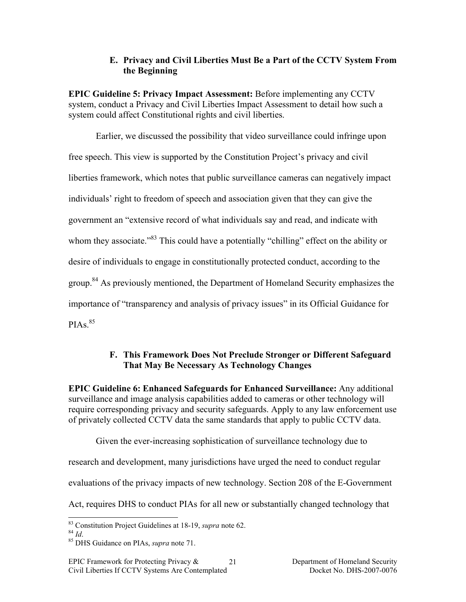## **E. Privacy and Civil Liberties Must Be a Part of the CCTV System From the Beginning**

**EPIC Guideline 5: Privacy Impact Assessment:** Before implementing any CCTV system, conduct a Privacy and Civil Liberties Impact Assessment to detail how such a system could affect Constitutional rights and civil liberties.

Earlier, we discussed the possibility that video surveillance could infringe upon free speech. This view is supported by the Constitution Project's privacy and civil liberties framework, which notes that public surveillance cameras can negatively impact individuals' right to freedom of speech and association given that they can give the government an "extensive record of what individuals say and read, and indicate with whom they associate."<sup>83</sup> This could have a potentially "chilling" effect on the ability or desire of individuals to engage in constitutionally protected conduct, according to the group.<sup>84</sup> As previously mentioned, the Department of Homeland Security emphasizes the importance of "transparency and analysis of privacy issues" in its Official Guidance for  $PIAs<sup>85</sup>$ 

# **F. This Framework Does Not Preclude Stronger or Different Safeguard That May Be Necessary As Technology Changes**

**EPIC Guideline 6: Enhanced Safeguards for Enhanced Surveillance:** Any additional surveillance and image analysis capabilities added to cameras or other technology will require corresponding privacy and security safeguards. Apply to any law enforcement use of privately collected CCTV data the same standards that apply to public CCTV data.

Given the ever-increasing sophistication of surveillance technology due to

research and development, many jurisdictions have urged the need to conduct regular

evaluations of the privacy impacts of new technology. Section 208 of the E-Government

Act, requires DHS to conduct PIAs for all new or substantially changed technology that

 <sup>83</sup> Constitution Project Guidelines at 18-19, *supra* note 62. <sup>84</sup> *Id*. 85 DHS Guidance on PIAs, *supra* note 71.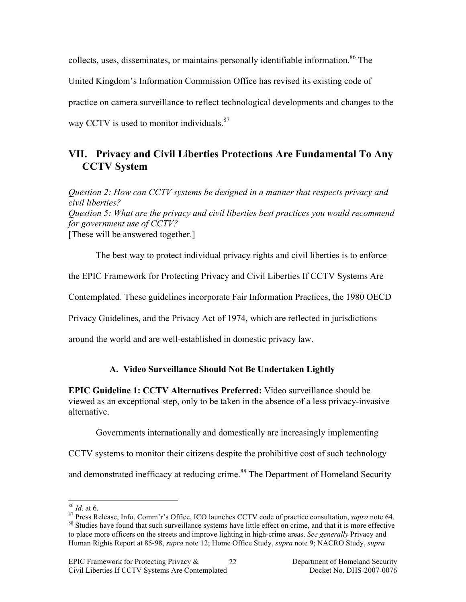collects, uses, disseminates, or maintains personally identifiable information.<sup>86</sup> The United Kingdom's Information Commission Office has revised its existing code of practice on camera surveillance to reflect technological developments and changes to the way CCTV is used to monitor individuals. $87$ 

# **VII. Privacy and Civil Liberties Protections Are Fundamental To Any CCTV System**

*Question 2: How can CCTV systems be designed in a manner that respects privacy and civil liberties? Question 5: What are the privacy and civil liberties best practices you would recommend for government use of CCTV?* [These will be answered together.]

The best way to protect individual privacy rights and civil liberties is to enforce the EPIC Framework for Protecting Privacy and Civil Liberties If CCTV Systems Are Contemplated. These guidelines incorporate Fair Information Practices, the 1980 OECD Privacy Guidelines, and the Privacy Act of 1974, which are reflected in jurisdictions around the world and are well-established in domestic privacy law.

# **A. Video Surveillance Should Not Be Undertaken Lightly**

**EPIC Guideline 1: CCTV Alternatives Preferred:** Video surveillance should be viewed as an exceptional step, only to be taken in the absence of a less privacy-invasive alternative.

Governments internationally and domestically are increasingly implementing

CCTV systems to monitor their citizens despite the prohibitive cost of such technology

and demonstrated inefficacy at reducing crime.<sup>88</sup> The Department of Homeland Security

 $^{86}$  *Id.* at 6.<br><sup>87</sup> Press Release, Info. Comm'r's Office, ICO launches CCTV code of practice consultation, *supra* note 64.<br><sup>88</sup> Studies have found that such surveillance systems have little effect on crime, and that

to place more officers on the streets and improve lighting in high-crime areas. *See generally* Privacy and Human Rights Report at 85-98, *supra* note 12; Home Office Study, *supra* note 9; NACRO Study, *supra*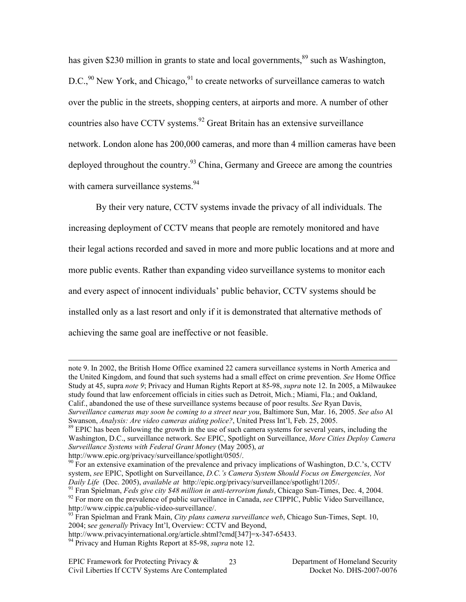has given \$230 million in grants to state and local governments, $89$  such as Washington,  $D.C.,<sup>90</sup> New York, and Chicago,<sup>91</sup> to create networks of surveillance cameras to watch$ over the public in the streets, shopping centers, at airports and more. A number of other countries also have CCTV systems.<sup>92</sup> Great Britain has an extensive surveillance network. London alone has 200,000 cameras, and more than 4 million cameras have been deployed throughout the country.<sup>93</sup> China, Germany and Greece are among the countries with camera surveillance systems.<sup>94</sup>

By their very nature, CCTV systems invade the privacy of all individuals. The increasing deployment of CCTV means that people are remotely monitored and have their legal actions recorded and saved in more and more public locations and at more and more public events. Rather than expanding video surveillance systems to monitor each and every aspect of innocent individuals' public behavior, CCTV systems should be installed only as a last resort and only if it is demonstrated that alternative methods of achieving the same goal are ineffective or not feasible.

 $\overline{a}$ 

note 9. In 2002, the British Home Office examined 22 camera surveillance systems in North America and the United Kingdom, and found that such systems had a small effect on crime prevention. *See* Home Office Study at 45, supra *note 9*; Privacy and Human Rights Report at 85-98, *supra* note 12. In 2005, a Milwaukee study found that law enforcement officials in cities such as Detroit, Mich.; Miami, Fla.; and Oakland, Calif., abandoned the use of these surveillance systems because of poor results. *See* Ryan Davis, *Surveillance cameras may soon be coming to a street near you*, Baltimore Sun, Mar. 16, 2005. *See also* Al

Swanson, *Analysis: Are video cameras aiding police?*, United Press Int'l, Feb. 25, 2005.<br><sup>89</sup> EPIC has been following the growth in the use of such camera systems for several years, including the

Washington, D.C., surveillance network. S*ee* EPIC, Spotlight on Surveillance, *More Cities Deploy Camera Surveillance Systems with Federal Grant Money* (May 2005), *at*

http://www.epic.org/privacy/surveillance/spotlight/0505/.

 $90$  For an extensive examination of the prevalence and privacy implications of Washington, D.C.'s, CCTV system, *see* EPIC, Spotlight on Surveillance, *D.C.'s Camera System Should Focus on Emergencies, Not* 

Daily Life (Dec. 2005), available at http://epic.org/privacy/surveillance/spotlight/1205/.<br><sup>91</sup> Fran Spielman, *Feds give city \$48 million in anti-terrorism funds*, Chicago Sun-Times, Dec. 4, 2004.<br><sup>92</sup> For more on the pre

<sup>&</sup>lt;sup>93</sup> Fran Spielman and Frank Main, *City plans camera surveillance web*, Chicago Sun-Times, Sept. 10, 2004; s*ee generally* Privacy Int'l, Overview: CCTV and Beyond,

http://www.privacyinternational.org/article.shtml?cmd[347]=x-347-65433. 94 Privacy and Human Rights Report at 85-98, *supra* note 12.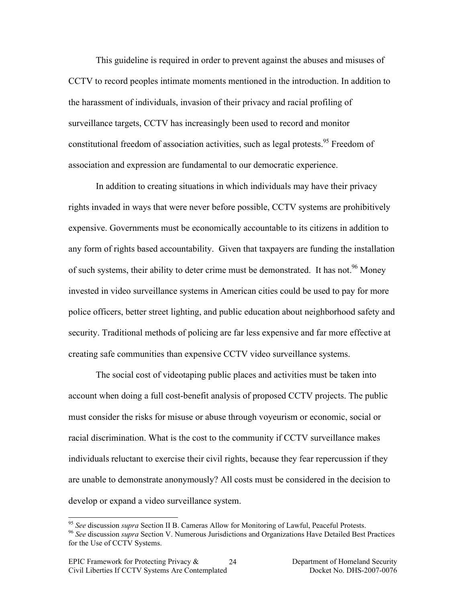This guideline is required in order to prevent against the abuses and misuses of CCTV to record peoples intimate moments mentioned in the introduction. In addition to the harassment of individuals, invasion of their privacy and racial profiling of surveillance targets, CCTV has increasingly been used to record and monitor constitutional freedom of association activities, such as legal protests.<sup>95</sup> Freedom of association and expression are fundamental to our democratic experience.

In addition to creating situations in which individuals may have their privacy rights invaded in ways that were never before possible, CCTV systems are prohibitively expensive. Governments must be economically accountable to its citizens in addition to any form of rights based accountability. Given that taxpayers are funding the installation of such systems, their ability to deter crime must be demonstrated. It has not.<sup>96</sup> Money invested in video surveillance systems in American cities could be used to pay for more police officers, better street lighting, and public education about neighborhood safety and security. Traditional methods of policing are far less expensive and far more effective at creating safe communities than expensive CCTV video surveillance systems.

The social cost of videotaping public places and activities must be taken into account when doing a full cost-benefit analysis of proposed CCTV projects. The public must consider the risks for misuse or abuse through voyeurism or economic, social or racial discrimination. What is the cost to the community if CCTV surveillance makes individuals reluctant to exercise their civil rights, because they fear repercussion if they are unable to demonstrate anonymously? All costs must be considered in the decision to develop or expand a video surveillance system.

<sup>&</sup>lt;sup>95</sup> See discussion *supra* Section II B. Cameras Allow for Monitoring of Lawful, Peaceful Protests.<br><sup>96</sup> See discussion *supra* Section V. Numerous Jurisdictions and Organizations Have Detailed Best Practices

for the Use of CCTV Systems.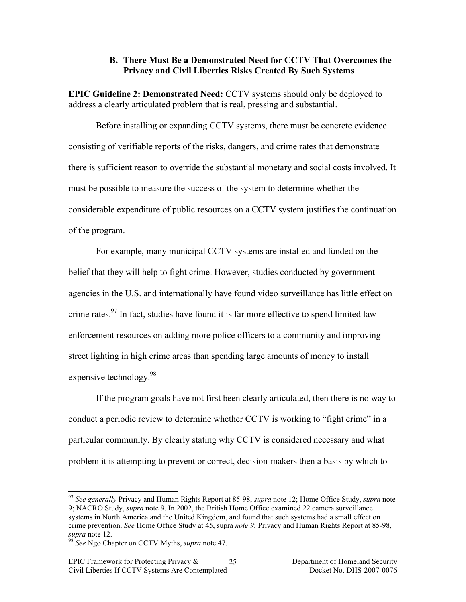#### **B. There Must Be a Demonstrated Need for CCTV That Overcomes the Privacy and Civil Liberties Risks Created By Such Systems**

**EPIC Guideline 2: Demonstrated Need:** CCTV systems should only be deployed to address a clearly articulated problem that is real, pressing and substantial.

Before installing or expanding CCTV systems, there must be concrete evidence consisting of verifiable reports of the risks, dangers, and crime rates that demonstrate there is sufficient reason to override the substantial monetary and social costs involved. It must be possible to measure the success of the system to determine whether the considerable expenditure of public resources on a CCTV system justifies the continuation of the program.

For example, many municipal CCTV systems are installed and funded on the belief that they will help to fight crime. However, studies conducted by government agencies in the U.S. and internationally have found video surveillance has little effect on crime rates.<sup>97</sup> In fact, studies have found it is far more effective to spend limited law enforcement resources on adding more police officers to a community and improving street lighting in high crime areas than spending large amounts of money to install expensive technology.<sup>98</sup>

If the program goals have not first been clearly articulated, then there is no way to conduct a periodic review to determine whether CCTV is working to "fight crime" in a particular community. By clearly stating why CCTV is considered necessary and what problem it is attempting to prevent or correct, decision-makers then a basis by which to

 <sup>97</sup> *See generally* Privacy and Human Rights Report at 85-98, *supra* note 12; Home Office Study, *supra* note 9; NACRO Study, *supra* note 9. In 2002, the British Home Office examined 22 camera surveillance systems in North America and the United Kingdom, and found that such systems had a small effect on crime prevention. *See* Home Office Study at 45, supra *note 9*; Privacy and Human Rights Report at 85-98,

*supra* note 12. <sup>98</sup> *See* Ngo Chapter on CCTV Myths, *supra* note 47.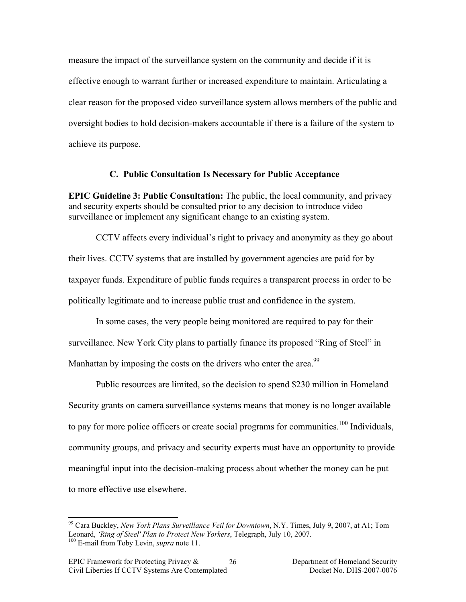measure the impact of the surveillance system on the community and decide if it is effective enough to warrant further or increased expenditure to maintain. Articulating a clear reason for the proposed video surveillance system allows members of the public and oversight bodies to hold decision-makers accountable if there is a failure of the system to achieve its purpose.

#### **C. Public Consultation Is Necessary for Public Acceptance**

**EPIC Guideline 3: Public Consultation:** The public, the local community, and privacy and security experts should be consulted prior to any decision to introduce video surveillance or implement any significant change to an existing system.

CCTV affects every individual's right to privacy and anonymity as they go about their lives. CCTV systems that are installed by government agencies are paid for by taxpayer funds. Expenditure of public funds requires a transparent process in order to be politically legitimate and to increase public trust and confidence in the system.

In some cases, the very people being monitored are required to pay for their surveillance. New York City plans to partially finance its proposed "Ring of Steel" in Manhattan by imposing the costs on the drivers who enter the area.<sup>99</sup>

Public resources are limited, so the decision to spend \$230 million in Homeland Security grants on camera surveillance systems means that money is no longer available to pay for more police officers or create social programs for communities.<sup>100</sup> Individuals, community groups, and privacy and security experts must have an opportunity to provide meaningful input into the decision-making process about whether the money can be put to more effective use elsewhere.

 <sup>99</sup> Cara Buckley, *New York Plans Surveillance Veil for Downtown*, N.Y. Times, July 9, 2007, at A1; Tom Leonard, *'Ring of Steel' Plan to Protect New Yorkers*, Telegraph, July 10, 2007. 100 E-mail from Toby Levin, *supra* note 11.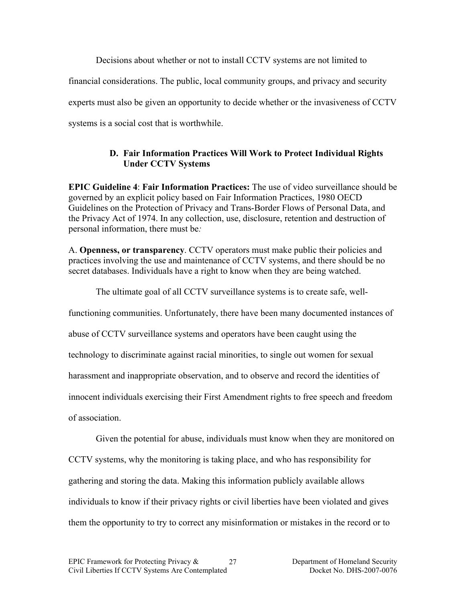Decisions about whether or not to install CCTV systems are not limited to financial considerations. The public, local community groups, and privacy and security experts must also be given an opportunity to decide whether or the invasiveness of CCTV systems is a social cost that is worthwhile.

# **D. Fair Information Practices Will Work to Protect Individual Rights Under CCTV Systems**

**EPIC Guideline 4**: **Fair Information Practices:** The use of video surveillance should be governed by an explicit policy based on Fair Information Practices, 1980 OECD Guidelines on the Protection of Privacy and Trans-Border Flows of Personal Data, and the Privacy Act of 1974. In any collection, use, disclosure, retention and destruction of personal information, there must be*:*

A. **Openness, or transparency**. CCTV operators must make public their policies and practices involving the use and maintenance of CCTV systems, and there should be no secret databases. Individuals have a right to know when they are being watched.

The ultimate goal of all CCTV surveillance systems is to create safe, well-

functioning communities. Unfortunately, there have been many documented instances of

abuse of CCTV surveillance systems and operators have been caught using the

technology to discriminate against racial minorities, to single out women for sexual

harassment and inappropriate observation, and to observe and record the identities of

innocent individuals exercising their First Amendment rights to free speech and freedom

of association.

Given the potential for abuse, individuals must know when they are monitored on CCTV systems, why the monitoring is taking place, and who has responsibility for gathering and storing the data. Making this information publicly available allows individuals to know if their privacy rights or civil liberties have been violated and gives them the opportunity to try to correct any misinformation or mistakes in the record or to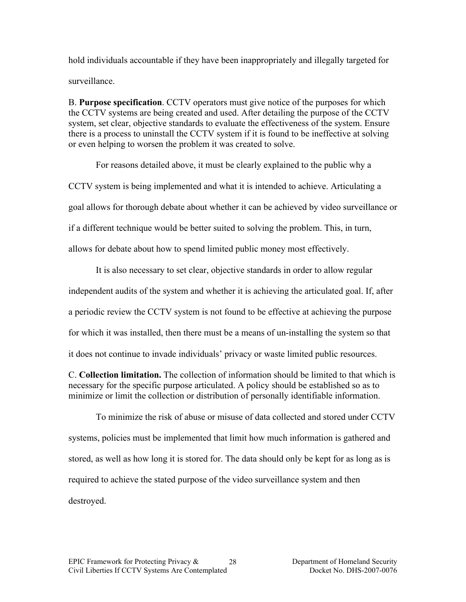hold individuals accountable if they have been inappropriately and illegally targeted for surveillance.

B. **Purpose specification**. CCTV operators must give notice of the purposes for which the CCTV systems are being created and used. After detailing the purpose of the CCTV system, set clear, objective standards to evaluate the effectiveness of the system. Ensure there is a process to uninstall the CCTV system if it is found to be ineffective at solving or even helping to worsen the problem it was created to solve.

For reasons detailed above, it must be clearly explained to the public why a

CCTV system is being implemented and what it is intended to achieve. Articulating a

goal allows for thorough debate about whether it can be achieved by video surveillance or

if a different technique would be better suited to solving the problem. This, in turn,

allows for debate about how to spend limited public money most effectively.

It is also necessary to set clear, objective standards in order to allow regular independent audits of the system and whether it is achieving the articulated goal. If, after a periodic review the CCTV system is not found to be effective at achieving the purpose for which it was installed, then there must be a means of un-installing the system so that it does not continue to invade individuals' privacy or waste limited public resources.

C. **Collection limitation.** The collection of information should be limited to that which is necessary for the specific purpose articulated. A policy should be established so as to minimize or limit the collection or distribution of personally identifiable information.

To minimize the risk of abuse or misuse of data collected and stored under CCTV systems, policies must be implemented that limit how much information is gathered and stored, as well as how long it is stored for. The data should only be kept for as long as is required to achieve the stated purpose of the video surveillance system and then destroyed.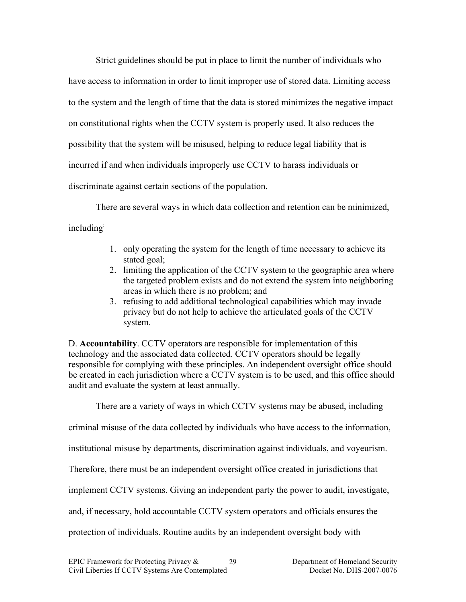Strict guidelines should be put in place to limit the number of individuals who have access to information in order to limit improper use of stored data. Limiting access to the system and the length of time that the data is stored minimizes the negative impact on constitutional rights when the CCTV system is properly used. It also reduces the possibility that the system will be misused, helping to reduce legal liability that is incurred if and when individuals improperly use CCTV to harass individuals or discriminate against certain sections of the population.

There are several ways in which data collection and retention can be minimized, including:

- 1. only operating the system for the length of time necessary to achieve its stated goal;
- 2. limiting the application of the CCTV system to the geographic area where the targeted problem exists and do not extend the system into neighboring areas in which there is no problem; and
- 3. refusing to add additional technological capabilities which may invade privacy but do not help to achieve the articulated goals of the CCTV system.

D. **Accountability**. CCTV operators are responsible for implementation of this technology and the associated data collected. CCTV operators should be legally responsible for complying with these principles. An independent oversight office should be created in each jurisdiction where a CCTV system is to be used, and this office should audit and evaluate the system at least annually.

There are a variety of ways in which CCTV systems may be abused, including

criminal misuse of the data collected by individuals who have access to the information,

institutional misuse by departments, discrimination against individuals, and voyeurism.

Therefore, there must be an independent oversight office created in jurisdictions that

implement CCTV systems. Giving an independent party the power to audit, investigate,

and, if necessary, hold accountable CCTV system operators and officials ensures the

protection of individuals. Routine audits by an independent oversight body with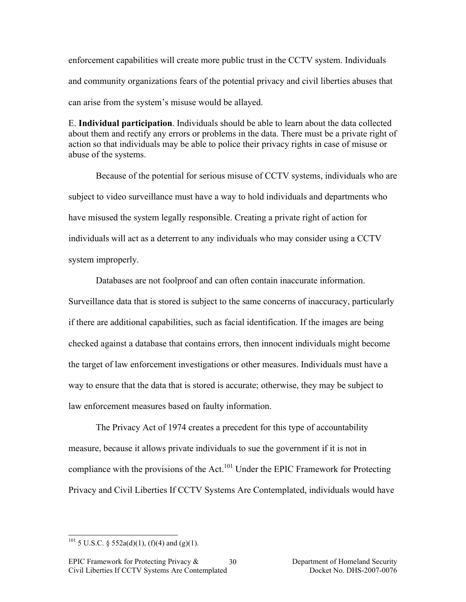enforcement capabilities will create more public trust in the CCTV system. Individuals and community organizations fears of the potential privacy and civil liberties abuses that can arise from the system's misuse would be allayed.

E. **Individual participation**. Individuals should be able to learn about the data collected about them and rectify any errors or problems in the data. There must be a private right of action so that individuals may be able to police their privacy rights in case of misuse or abuse of the systems.

Because of the potential for serious misuse of CCTV systems, individuals who are subject to video surveillance must have a way to hold individuals and departments who have misused the system legally responsible. Creating a private right of action for individuals will act as a deterrent to any individuals who may consider using a CCTV system improperly.

Databases are not foolproof and can often contain inaccurate information.

Surveillance data that is stored is subject to the same concerns of inaccuracy, particularly if there are additional capabilities, such as facial identification. If the images are being checked against a database that contains errors, then innocent individuals might become the target of law enforcement investigations or other measures. Individuals must have a way to ensure that the data that is stored is accurate; otherwise, they may be subject to law enforcement measures based on faulty information.

The Privacy Act of 1974 creates a precedent for this type of accountability measure, because it allows private individuals to sue the government if it is not in compliance with the provisions of the Act.<sup>101</sup> Under the EPIC Framework for Protecting Privacy and Civil Liberties If CCTV Systems Are Contemplated, individuals would have

<sup>&</sup>lt;sup>101</sup> 5 U.S.C. § 552a(d)(1), (f)(4) and (g)(1).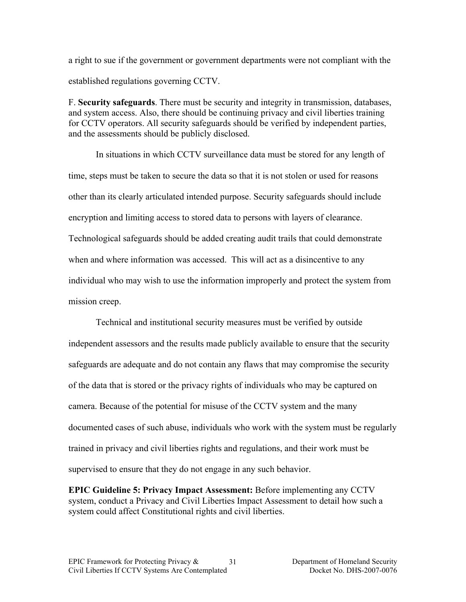a right to sue if the government or government departments were not compliant with the established regulations governing CCTV.

F. **Security safeguards**. There must be security and integrity in transmission, databases, and system access. Also, there should be continuing privacy and civil liberties training for CCTV operators. All security safeguards should be verified by independent parties, and the assessments should be publicly disclosed.

In situations in which CCTV surveillance data must be stored for any length of time, steps must be taken to secure the data so that it is not stolen or used for reasons other than its clearly articulated intended purpose. Security safeguards should include encryption and limiting access to stored data to persons with layers of clearance. Technological safeguards should be added creating audit trails that could demonstrate when and where information was accessed. This will act as a disincentive to any individual who may wish to use the information improperly and protect the system from mission creep.

Technical and institutional security measures must be verified by outside independent assessors and the results made publicly available to ensure that the security safeguards are adequate and do not contain any flaws that may compromise the security of the data that is stored or the privacy rights of individuals who may be captured on camera. Because of the potential for misuse of the CCTV system and the many documented cases of such abuse, individuals who work with the system must be regularly trained in privacy and civil liberties rights and regulations, and their work must be supervised to ensure that they do not engage in any such behavior.

**EPIC Guideline 5: Privacy Impact Assessment:** Before implementing any CCTV system, conduct a Privacy and Civil Liberties Impact Assessment to detail how such a system could affect Constitutional rights and civil liberties.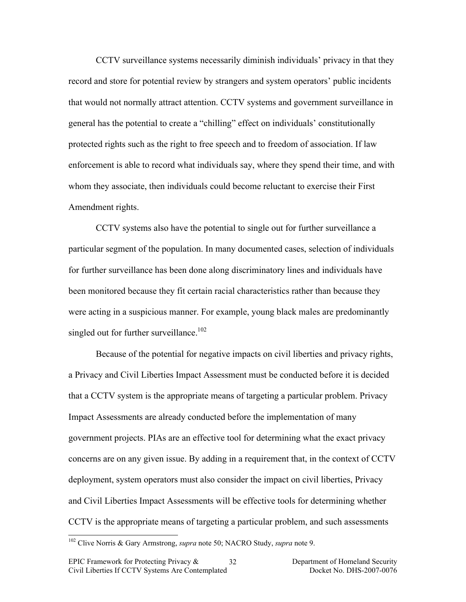CCTV surveillance systems necessarily diminish individuals' privacy in that they record and store for potential review by strangers and system operators' public incidents that would not normally attract attention. CCTV systems and government surveillance in general has the potential to create a "chilling" effect on individuals' constitutionally protected rights such as the right to free speech and to freedom of association. If law enforcement is able to record what individuals say, where they spend their time, and with whom they associate, then individuals could become reluctant to exercise their First Amendment rights.

CCTV systems also have the potential to single out for further surveillance a particular segment of the population. In many documented cases, selection of individuals for further surveillance has been done along discriminatory lines and individuals have been monitored because they fit certain racial characteristics rather than because they were acting in a suspicious manner. For example, young black males are predominantly singled out for further surveillance.<sup>102</sup>

Because of the potential for negative impacts on civil liberties and privacy rights, a Privacy and Civil Liberties Impact Assessment must be conducted before it is decided that a CCTV system is the appropriate means of targeting a particular problem. Privacy Impact Assessments are already conducted before the implementation of many government projects. PIAs are an effective tool for determining what the exact privacy concerns are on any given issue. By adding in a requirement that, in the context of CCTV deployment, system operators must also consider the impact on civil liberties, Privacy and Civil Liberties Impact Assessments will be effective tools for determining whether CCTV is the appropriate means of targeting a particular problem, and such assessments

 <sup>102</sup> Clive Norris & Gary Armstrong, *supra* note 50; NACRO Study, *supra* note 9.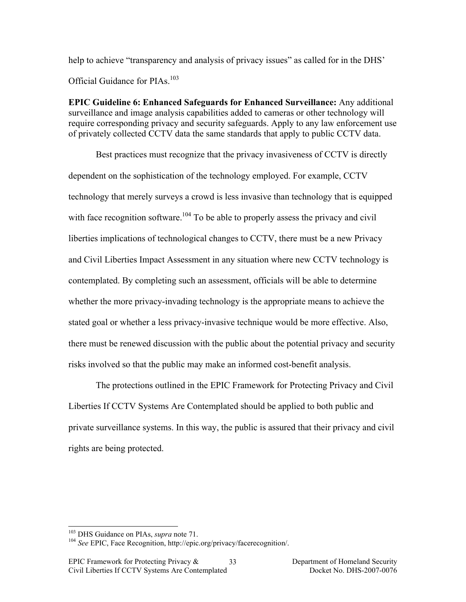help to achieve "transparency and analysis of privacy issues" as called for in the DHS' Official Guidance for PIAs.<sup>103</sup>

**EPIC Guideline 6: Enhanced Safeguards for Enhanced Surveillance:** Any additional surveillance and image analysis capabilities added to cameras or other technology will require corresponding privacy and security safeguards. Apply to any law enforcement use of privately collected CCTV data the same standards that apply to public CCTV data.

Best practices must recognize that the privacy invasiveness of CCTV is directly dependent on the sophistication of the technology employed. For example, CCTV technology that merely surveys a crowd is less invasive than technology that is equipped with face recognition software.<sup>104</sup> To be able to properly assess the privacy and civil liberties implications of technological changes to CCTV, there must be a new Privacy and Civil Liberties Impact Assessment in any situation where new CCTV technology is contemplated. By completing such an assessment, officials will be able to determine whether the more privacy-invading technology is the appropriate means to achieve the stated goal or whether a less privacy-invasive technique would be more effective. Also, there must be renewed discussion with the public about the potential privacy and security risks involved so that the public may make an informed cost-benefit analysis.

The protections outlined in the EPIC Framework for Protecting Privacy and Civil Liberties If CCTV Systems Are Contemplated should be applied to both public and private surveillance systems. In this way, the public is assured that their privacy and civil rights are being protected.

<sup>&</sup>lt;sup>103</sup> DHS Guidance on PIAs, *supra* note 71.<br><sup>104</sup> *See* EPIC, Face Recognition, http://epic.org/privacy/facerecognition/.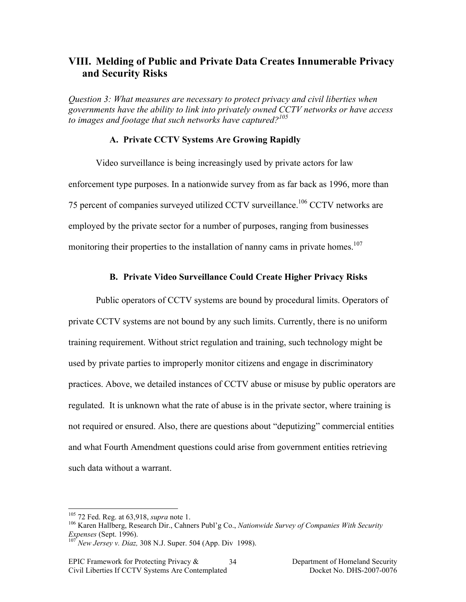# **VIII. Melding of Public and Private Data Creates Innumerable Privacy and Security Risks**

*Question 3: What measures are necessary to protect privacy and civil liberties when governments have the ability to link into privately owned CCTV networks or have access to images and footage that such networks have captured?105*

#### **A. Private CCTV Systems Are Growing Rapidly**

Video surveillance is being increasingly used by private actors for law enforcement type purposes. In a nationwide survey from as far back as 1996, more than 75 percent of companies surveyed utilized CCTV surveillance.106 CCTV networks are employed by the private sector for a number of purposes, ranging from businesses monitoring their properties to the installation of nanny cams in private homes.<sup>107</sup>

#### **B. Private Video Surveillance Could Create Higher Privacy Risks**

Public operators of CCTV systems are bound by procedural limits. Operators of private CCTV systems are not bound by any such limits. Currently, there is no uniform training requirement. Without strict regulation and training, such technology might be used by private parties to improperly monitor citizens and engage in discriminatory practices. Above, we detailed instances of CCTV abuse or misuse by public operators are regulated. It is unknown what the rate of abuse is in the private sector, where training is not required or ensured. Also, there are questions about "deputizing" commercial entities and what Fourth Amendment questions could arise from government entities retrieving such data without a warrant.

<sup>&</sup>lt;sup>105</sup> 72 Fed. Reg. at 63,918, *supra* note 1.<br><sup>106</sup> Karen Hallberg, Research Dir., Cahners Publ'g Co., *Nationwide Survey of Companies With Security*<br>*Expenses* (Sept. 1996).<br><sup>107</sup> Naw Jangguay, Direct 200 N.L.C. **106 107** 

*New Jersey v. Diaz, 308 N.J. Super. 504 (App. Div 1998).*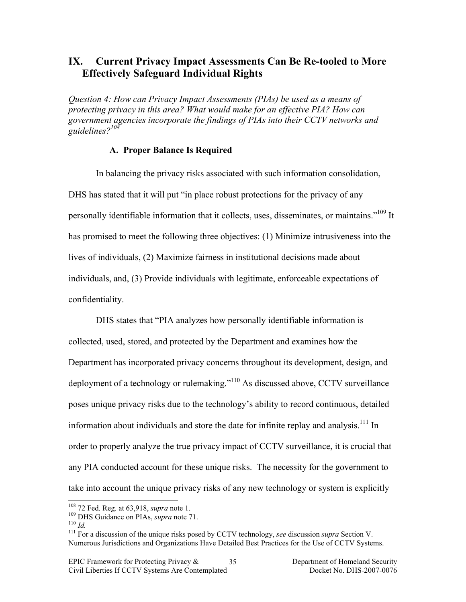# **IX. Current Privacy Impact Assessments Can Be Re-tooled to More Effectively Safeguard Individual Rights**

*Question 4: How can Privacy Impact Assessments (PIAs) be used as a means of protecting privacy in this area? What would make for an effective PIA? How can government agencies incorporate the findings of PIAs into their CCTV networks and guidelines?108*

#### **A. Proper Balance Is Required**

In balancing the privacy risks associated with such information consolidation, DHS has stated that it will put "in place robust protections for the privacy of any personally identifiable information that it collects, uses, disseminates, or maintains."<sup>109</sup> It has promised to meet the following three objectives: (1) Minimize intrusiveness into the lives of individuals, (2) Maximize fairness in institutional decisions made about individuals, and, (3) Provide individuals with legitimate, enforceable expectations of confidentiality.

DHS states that "PIA analyzes how personally identifiable information is collected, used, stored, and protected by the Department and examines how the Department has incorporated privacy concerns throughout its development, design, and deployment of a technology or rulemaking."<sup>110</sup> As discussed above, CCTV surveillance poses unique privacy risks due to the technology's ability to record continuous, detailed information about individuals and store the date for infinite replay and analysis.<sup>111</sup> In order to properly analyze the true privacy impact of CCTV surveillance, it is crucial that any PIA conducted account for these unique risks. The necessity for the government to take into account the unique privacy risks of any new technology or system is explicitly

<sup>&</sup>lt;sup>108</sup> 72 Fed. Reg. at 63,918, *supra* note 1.<br><sup>109</sup> DHS Guidance on PIAs, *supra* note 71.<br><sup>110</sup> *Id.* <sup>111</sup> For a discussion of the unique risks posed by CCTV technology, *see* discussion *supra* Section V. Numerous Jurisdictions and Organizations Have Detailed Best Practices for the Use of CCTV Systems.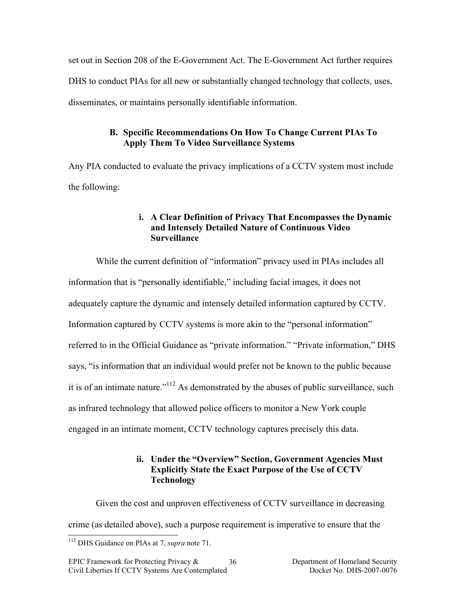set out in Section 208 of the E-Government Act. The E-Government Act further requires DHS to conduct PIAs for all new or substantially changed technology that collects, uses, disseminates, or maintains personally identifiable information.

# **B. Specific Recommendations On How To Change Current PIAs To Apply Them To Video Surveillance Systems**

Any PIA conducted to evaluate the privacy implications of a CCTV system must include the following:

## **i. A Clear Definition of Privacy That Encompasses the Dynamic and Intensely Detailed Nature of Continuous Video Surveillance**

While the current definition of "information" privacy used in PIAs includes all information that is "personally identifiable," including facial images, it does not adequately capture the dynamic and intensely detailed information captured by CCTV. Information captured by CCTV systems is more akin to the "personal information" referred to in the Official Guidance as "private information." "Private information," DHS says, "is information that an individual would prefer not be known to the public because it is of an intimate nature."<sup>112</sup> As demonstrated by the abuses of public surveillance, such as infrared technology that allowed police officers to monitor a New York couple engaged in an intimate moment, CCTV technology captures precisely this data.

### **ii. Under the "Overview" Section, Government Agencies Must Explicitly State the Exact Purpose of the Use of CCTV Technology**

Given the cost and unproven effectiveness of CCTV surveillance in decreasing crime (as detailed above), such a purpose requirement is imperative to ensure that the

 <sup>112</sup> DHS Guidance on PIAs at 7, *supra* note 71.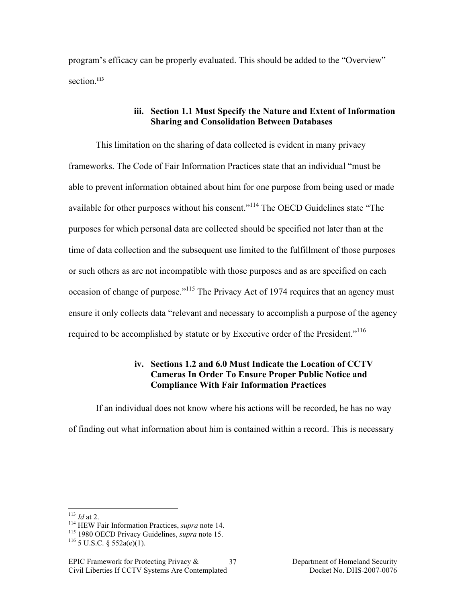program's efficacy can be properly evaluated. This should be added to the "Overview" section.**<sup>113</sup>**

### **iii. Section 1.1 Must Specify the Nature and Extent of Information Sharing and Consolidation Between Databases**

This limitation on the sharing of data collected is evident in many privacy frameworks. The Code of Fair Information Practices state that an individual "must be able to prevent information obtained about him for one purpose from being used or made available for other purposes without his consent."<sup>114</sup> The OECD Guidelines state "The purposes for which personal data are collected should be specified not later than at the time of data collection and the subsequent use limited to the fulfillment of those purposes or such others as are not incompatible with those purposes and as are specified on each occasion of change of purpose."<sup>115</sup> The Privacy Act of 1974 requires that an agency must ensure it only collects data "relevant and necessary to accomplish a purpose of the agency required to be accomplished by statute or by Executive order of the President."<sup>116</sup>

### **iv. Sections 1.2 and 6.0 Must Indicate the Location of CCTV Cameras In Order To Ensure Proper Public Notice and Compliance With Fair Information Practices**

If an individual does not know where his actions will be recorded, he has no way of finding out what information about him is contained within a record. This is necessary

<sup>&</sup>lt;sup>113</sup> *Id* at 2.<br><sup>114</sup> HEW Fair Information Practices, *supra* note 14.<br><sup>115</sup> 1980 OECD Privacy Guidelines, *supra* note 15.<br><sup>116</sup> 5 U.S.C. § 552a(e)(1).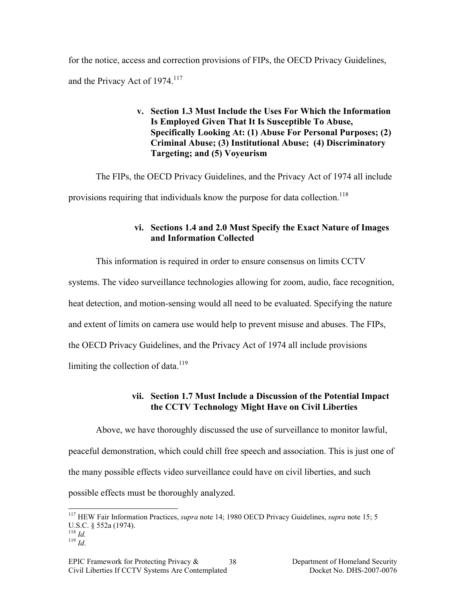for the notice, access and correction provisions of FIPs, the OECD Privacy Guidelines, and the Privacy Act of 1974.<sup>117</sup>

### **v. Section 1.3 Must Include the Uses For Which the Information Is Employed Given That It Is Susceptible To Abuse, Specifically Looking At: (1) Abuse For Personal Purposes; (2) Criminal Abuse; (3) Institutional Abuse; (4) Discriminatory Targeting; and (5) Voyeurism**

The FIPs, the OECD Privacy Guidelines, and the Privacy Act of 1974 all include provisions requiring that individuals know the purpose for data collection.<sup>118</sup>

# **vi. Sections 1.4 and 2.0 Must Specify the Exact Nature of Images and Information Collected**

This information is required in order to ensure consensus on limits CCTV

systems. The video surveillance technologies allowing for zoom, audio, face recognition,

heat detection, and motion-sensing would all need to be evaluated. Specifying the nature

and extent of limits on camera use would help to prevent misuse and abuses. The FIPs,

the OECD Privacy Guidelines, and the Privacy Act of 1974 all include provisions

limiting the collection of data. $119$ 

# **vii. Section 1.7 Must Include a Discussion of the Potential Impact the CCTV Technology Might Have on Civil Liberties**

Above, we have thoroughly discussed the use of surveillance to monitor lawful, peaceful demonstration, which could chill free speech and association. This is just one of the many possible effects video surveillance could have on civil liberties, and such possible effects must be thoroughly analyzed.

 <sup>117</sup> HEW Fair Information Practices, *supra* note 14; 1980 OECD Privacy Guidelines, *supra* note 15; 5 U.S.C. § 552a (1974).  $\frac{118}{119}$  *Id.* 119 *Id.*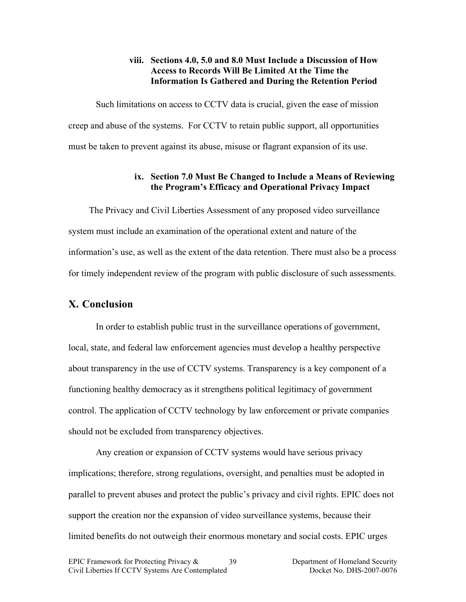### **viii. Sections 4.0, 5.0 and 8.0 Must Include a Discussion of How Access to Records Will Be Limited At the Time the Information Is Gathered and During the Retention Period**

Such limitations on access to CCTV data is crucial, given the ease of mission creep and abuse of the systems. For CCTV to retain public support, all opportunities must be taken to prevent against its abuse, misuse or flagrant expansion of its use.

## **ix. Section 7.0 Must Be Changed to Include a Means of Reviewing the Program's Efficacy and Operational Privacy Impact**

The Privacy and Civil Liberties Assessment of any proposed video surveillance system must include an examination of the operational extent and nature of the information's use, as well as the extent of the data retention. There must also be a process for timely independent review of the program with public disclosure of such assessments.

# **X. Conclusion**

In order to establish public trust in the surveillance operations of government, local, state, and federal law enforcement agencies must develop a healthy perspective about transparency in the use of CCTV systems. Transparency is a key component of a functioning healthy democracy as it strengthens political legitimacy of government control. The application of CCTV technology by law enforcement or private companies should not be excluded from transparency objectives.

Any creation or expansion of CCTV systems would have serious privacy implications; therefore, strong regulations, oversight, and penalties must be adopted in parallel to prevent abuses and protect the public's privacy and civil rights. EPIC does not support the creation nor the expansion of video surveillance systems, because their limited benefits do not outweigh their enormous monetary and social costs. EPIC urges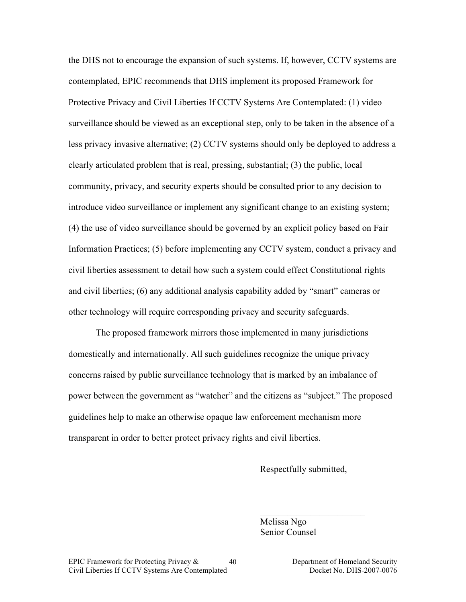the DHS not to encourage the expansion of such systems. If, however, CCTV systems are contemplated, EPIC recommends that DHS implement its proposed Framework for Protective Privacy and Civil Liberties If CCTV Systems Are Contemplated: (1) video surveillance should be viewed as an exceptional step, only to be taken in the absence of a less privacy invasive alternative; (2) CCTV systems should only be deployed to address a clearly articulated problem that is real, pressing, substantial; (3) the public, local community, privacy, and security experts should be consulted prior to any decision to introduce video surveillance or implement any significant change to an existing system; (4) the use of video surveillance should be governed by an explicit policy based on Fair Information Practices; (5) before implementing any CCTV system, conduct a privacy and civil liberties assessment to detail how such a system could effect Constitutional rights and civil liberties; (6) any additional analysis capability added by "smart" cameras or other technology will require corresponding privacy and security safeguards.

The proposed framework mirrors those implemented in many jurisdictions domestically and internationally. All such guidelines recognize the unique privacy concerns raised by public surveillance technology that is marked by an imbalance of power between the government as "watcher" and the citizens as "subject." The proposed guidelines help to make an otherwise opaque law enforcement mechanism more transparent in order to better protect privacy rights and civil liberties.

Respectfully submitted,

 $\mathcal{L}_\text{max}$  , where  $\mathcal{L}_\text{max}$  , we have the set of  $\mathcal{L}_\text{max}$ 

Melissa Ngo Senior Counsel